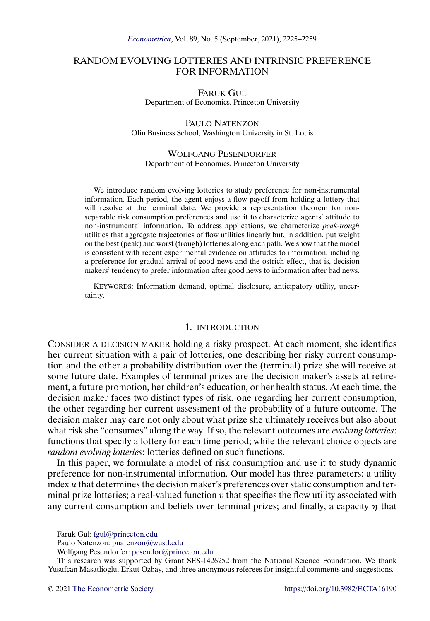# RANDOM EVOLVING LOTTERIES AND INTRINSIC PREFERENCE FOR INFORMATION

FARUK GUL Department of Economics, Princeton University

PAULO NATENZON Olin Business School, Washington University in St. Louis

### WOLFGANG PESENDORFER Department of Economics, Princeton University

We introduce random evolving lotteries to study preference for non-instrumental information. Each period, the agent enjoys a flow payoff from holding a lottery that will resolve at the terminal date. We provide a representation theorem for nonseparable risk consumption preferences and use it to characterize agents' attitude to non-instrumental information. To address applications, we characterize *peak-trough* utilities that aggregate trajectories of flow utilities linearly but, in addition, put weight on the best (peak) and worst (trough) lotteries along each path. We show that the model is consistent with recent experimental evidence on attitudes to information, including a preference for gradual arrival of good news and the ostrich effect, that is, decision makers' tendency to prefer information after good news to information after bad news.

KEYWORDS: Information demand, optimal disclosure, anticipatory utility, uncertainty.

#### 1. INTRODUCTION

CONSIDER A DECISION MAKER holding a risky prospect. At each moment, she identifies her current situation with a pair of lotteries, one describing her risky current consumption and the other a probability distribution over the (terminal) prize she will receive at some future date. Examples of terminal prizes are the decision maker's assets at retirement, a future promotion, her children's education, or her health status. At each time, the decision maker faces two distinct types of risk, one regarding her current consumption, the other regarding her current assessment of the probability of a future outcome. The decision maker may care not only about what prize she ultimately receives but also about what risk she "consumes" along the way. If so, the relevant outcomes are *evolving lotteries*: functions that specify a lottery for each time period; while the relevant choice objects are *random evolving lotteries*: lotteries defined on such functions.

In this paper, we formulate a model of risk consumption and use it to study dynamic preference for non-instrumental information. Our model has three parameters: a utility index u that determines the decision maker's preferences over static consumption and terminal prize lotteries; a real-valued function  $v$  that specifies the flow utility associated with any current consumption and beliefs over terminal prizes; and finally, a capacity  $\eta$  that

Faruk Gul: [fgul@princeton.edu](mailto:fgul@princeton.edu)

Paulo Natenzon: [pnatenzon@wustl.edu](mailto:pnatenzon@wustl.edu)

Wolfgang Pesendorfer: [pesendor@princeton.edu](mailto:pesendor@princeton.edu)

This research was supported by Grant SES-1426252 from the National Science Foundation. We thank Yusufcan Masatlioglu, Erkut Ozbay, and three anonymous referees for insightful comments and suggestions.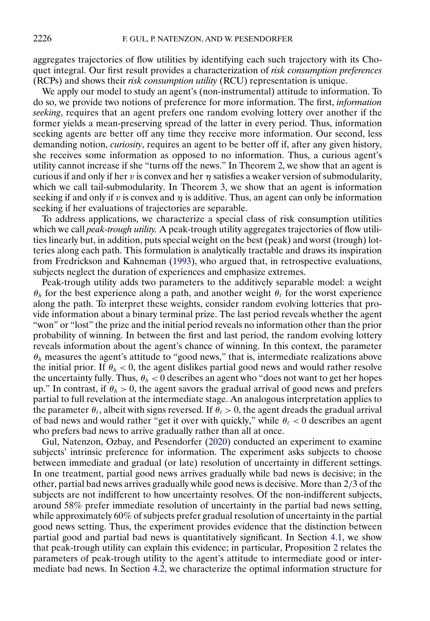<span id="page-1-0"></span>aggregates trajectories of flow utilities by identifying each such trajectory with its Choquet integral. Our first result provides a characterization of *risk consumption preferences* (RCPs) and shows their *risk consumption utility* (RCU) representation is unique.

We apply our model to study an agent's (non-instrumental) attitude to information. To do so, we provide two notions of preference for more information. The first, *information seeking*, requires that an agent prefers one random evolving lottery over another if the former yields a mean-preserving spread of the latter in every period. Thus, information seeking agents are better off any time they receive more information. Our second, less demanding notion, *curiosity*, requires an agent to be better off if, after any given history, she receives some information as opposed to no information. Thus, a curious agent's utility cannot increase if she "turns off the news." In Theorem [2,](#page-9-0) we show that an agent is curious if and only if her v is convex and her  $\eta$  satisfies a weaker version of submodularity, which we call tail-submodularity. In Theorem [3,](#page-10-0) we show that an agent is information seeking if and only if v is convex and  $\eta$  is additive. Thus, an agent can only be information seeking if her evaluations of trajectories are separable.

To address applications, we characterize a special class of risk consumption utilities which we call *peak-trough utility.* A peak-trough utility aggregates trajectories of flow utilities linearly but, in addition, puts special weight on the best (peak) and worst (trough) lotteries along each path. This formulation is analytically tractable and draws its inspiration from Fredrickson and Kahneman [\(1993\)](#page-33-0), who argued that, in retrospective evaluations, subjects neglect the duration of experiences and emphasize extremes.

Peak-trough utility adds two parameters to the additively separable model: a weight  $\theta_h$  for the best experience along a path, and another weight  $\theta_f$  for the worst experience along the path. To interpret these weights, consider random evolving lotteries that provide information about a binary terminal prize. The last period reveals whether the agent "won" or "lost" the prize and the initial period reveals no information other than the prior probability of winning. In between the first and last period, the random evolving lottery reveals information about the agent's chance of winning. In this context, the parameter  $\theta_h$  measures the agent's attitude to "good news," that is, intermediate realizations above the initial prior. If  $\theta_h < 0$ , the agent dislikes partial good news and would rather resolve the uncertainty fully. Thus,  $\theta_h < 0$  describes an agent who "does not want to get her hopes" up." In contrast, if  $\theta_h > 0$ , the agent savors the gradual arrival of good news and prefers partial to full revelation at the intermediate stage. An analogous interpretation applies to the parameter  $\theta_{\ell}$ , albeit with signs reversed. If  $\theta_{\ell} > 0$ , the agent dreads the gradual arrival of bad news and would rather "get it over with quickly," while  $\theta_{\ell} < 0$  describes an agent who prefers bad news to arrive gradually rather than all at once.

Gul, Natenzon, Ozbay, and Pesendorfer [\(2020\)](#page-33-0) conducted an experiment to examine subjects' intrinsic preference for information. The experiment asks subjects to choose between immediate and gradual (or late) resolution of uncertainty in different settings. In one treatment, partial good news arrives gradually while bad news is decisive; in the other, partial bad news arrives gradually while good news is decisive. More than 2/3 of the subjects are not indifferent to how uncertainty resolves. Of the non-indifferent subjects, around 58% prefer immediate resolution of uncertainty in the partial bad news setting, while approximately 60% of subjects prefer gradual resolution of uncertainty in the partial good news setting. Thus, the experiment provides evidence that the distinction between partial good and partial bad news is quantitatively significant. In Section [4.1,](#page-12-0) we show that peak-trough utility can explain this evidence; in particular, Proposition [2](#page-14-0) relates the parameters of peak-trough utility to the agent's attitude to intermediate good or intermediate bad news. In Section [4.2,](#page-14-0) we characterize the optimal information structure for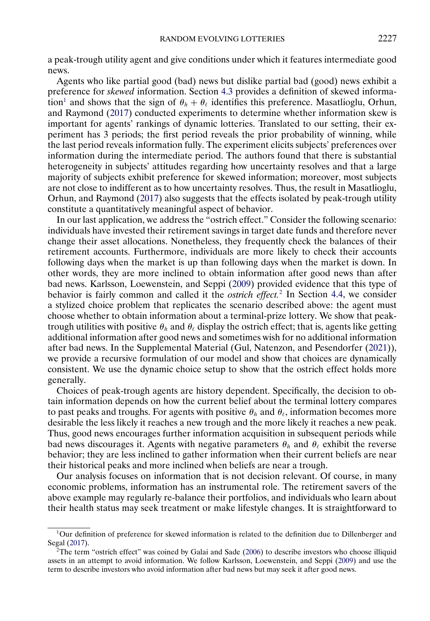<span id="page-2-0"></span>a peak-trough utility agent and give conditions under which it features intermediate good news.

Agents who like partial good (bad) news but dislike partial bad (good) news exhibit a preference for *skewed* information. Section [4.3](#page-15-0) provides a definition of skewed information<sup>1</sup> and shows that the sign of  $\theta_h + \theta_\ell$  identifies this preference. Masatlioglu, Orhun, and Raymond [\(2017\)](#page-34-0) conducted experiments to determine whether information skew is important for agents' rankings of dynamic lotteries. Translated to our setting, their experiment has 3 periods; the first period reveals the prior probability of winning, while the last period reveals information fully. The experiment elicits subjects' preferences over information during the intermediate period. The authors found that there is substantial heterogeneity in subjects' attitudes regarding how uncertainty resolves and that a large majority of subjects exhibit preference for skewed information; moreover, most subjects are not close to indifferent as to how uncertainty resolves. Thus, the result in Masatlioglu, Orhun, and Raymond [\(2017\)](#page-34-0) also suggests that the effects isolated by peak-trough utility constitute a quantitatively meaningful aspect of behavior.

In our last application, we address the "ostrich effect." Consider the following scenario: individuals have invested their retirement savings in target date funds and therefore never change their asset allocations. Nonetheless, they frequently check the balances of their retirement accounts. Furthermore, individuals are more likely to check their accounts following days when the market is up than following days when the market is down. In other words, they are more inclined to obtain information after good news than after bad news. Karlsson, Loewenstein, and Seppi [\(2009\)](#page-33-0) provided evidence that this type of behavior is fairly common and called it the *ostrich effect.*<sup>2</sup> In Section [4.4,](#page-16-0) we consider a stylized choice problem that replicates the scenario described above: the agent must choose whether to obtain information about a terminal-prize lottery. We show that peaktrough utilities with positive  $\theta_h$  and  $\theta_\ell$  display the ostrich effect; that is, agents like getting additional information after good news and sometimes wish for no additional information after bad news. In the Supplemental Material (Gul, Natenzon, and Pesendorfer [\(2021\)](#page-33-0)), we provide a recursive formulation of our model and show that choices are dynamically consistent. We use the dynamic choice setup to show that the ostrich effect holds more generally.

Choices of peak-trough agents are history dependent. Specifically, the decision to obtain information depends on how the current belief about the terminal lottery compares to past peaks and troughs. For agents with positive  $\theta_h$  and  $\theta_\ell$ , information becomes more desirable the less likely it reaches a new trough and the more likely it reaches a new peak. Thus, good news encourages further information acquisition in subsequent periods while bad news discourages it. Agents with negative parameters  $\theta_h$  and  $\theta_\ell$  exhibit the reverse behavior; they are less inclined to gather information when their current beliefs are near their historical peaks and more inclined when beliefs are near a trough.

Our analysis focuses on information that is not decision relevant. Of course, in many economic problems, information has an instrumental role. The retirement savers of the above example may regularly re-balance their portfolios, and individuals who learn about their health status may seek treatment or make lifestyle changes. It is straightforward to

<sup>1</sup>Our definition of preference for skewed information is related to the definition due to Dillenberger and Segal [\(2017\)](#page-33-0).

 $2$ The term "ostrich effect" was coined by Galai and Sade [\(2006\)](#page-33-0) to describe investors who choose illiquid assets in an attempt to avoid information. We follow Karlsson, Loewenstein, and Seppi [\(2009\)](#page-33-0) and use the term to describe investors who avoid information after bad news but may seek it after good news.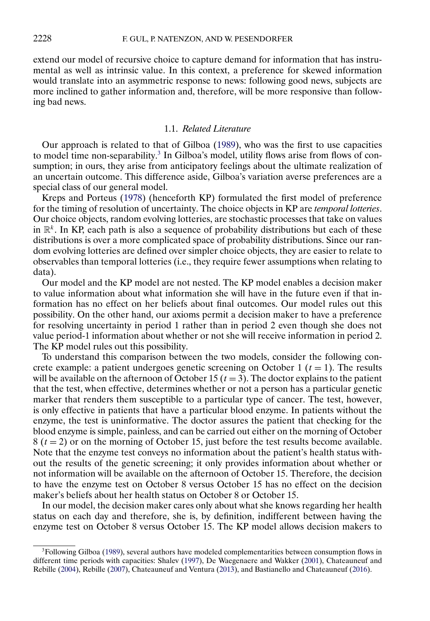<span id="page-3-0"></span>extend our model of recursive choice to capture demand for information that has instrumental as well as intrinsic value. In this context, a preference for skewed information would translate into an asymmetric response to news: following good news, subjects are more inclined to gather information and, therefore, will be more responsive than following bad news.

## 1.1. *Related Literature*

Our approach is related to that of Gilboa [\(1989\)](#page-33-0), who was the first to use capacities to model time non-separability.<sup>3</sup> In Gilboa's model, utility flows arise from flows of consumption; in ours, they arise from anticipatory feelings about the ultimate realization of an uncertain outcome. This difference aside, Gilboa's variation averse preferences are a special class of our general model.

Kreps and Porteus [\(1978\)](#page-33-0) (henceforth KP) formulated the first model of preference for the timing of resolution of uncertainty. The choice objects in KP are *temporal lotteries*. Our choice objects, random evolving lotteries, are stochastic processes that take on values in  $\mathbb{R}^k$ . In KP, each path is also a sequence of probability distributions but each of these distributions is over a more complicated space of probability distributions. Since our random evolving lotteries are defined over simpler choice objects, they are easier to relate to observables than temporal lotteries (i.e., they require fewer assumptions when relating to data).

Our model and the KP model are not nested. The KP model enables a decision maker to value information about what information she will have in the future even if that information has no effect on her beliefs about final outcomes. Our model rules out this possibility. On the other hand, our axioms permit a decision maker to have a preference for resolving uncertainty in period 1 rather than in period 2 even though she does not value period-1 information about whether or not she will receive information in period 2. The KP model rules out this possibility.

To understand this comparison between the two models, consider the following concrete example: a patient undergoes genetic screening on October 1 ( $t = 1$ ). The results will be available on the afternoon of October 15 ( $t = 3$ ). The doctor explains to the patient that the test, when effective, determines whether or not a person has a particular genetic marker that renders them susceptible to a particular type of cancer. The test, however, is only effective in patients that have a particular blood enzyme. In patients without the enzyme, the test is uninformative. The doctor assures the patient that checking for the blood enzyme is simple, painless, and can be carried out either on the morning of October  $8(t = 2)$  or on the morning of October 15, just before the test results become available. Note that the enzyme test conveys no information about the patient's health status without the results of the genetic screening; it only provides information about whether or not information will be available on the afternoon of October 15. Therefore, the decision to have the enzyme test on October 8 versus October 15 has no effect on the decision maker's beliefs about her health status on October 8 or October 15.

In our model, the decision maker cares only about what she knows regarding her health status on each day and therefore, she is, by definition, indifferent between having the enzyme test on October 8 versus October 15. The KP model allows decision makers to

<sup>&</sup>lt;sup>3</sup>Following Gilboa [\(1989\)](#page-33-0), several authors have modeled complementarities between consumption flows in different time periods with capacities: Shalev [\(1997\)](#page-34-0), De Waegenaere and Wakker [\(2001\)](#page-33-0), Chateauneuf and Rebille [\(2004\)](#page-33-0), Rebille [\(2007\)](#page-34-0), Chateauneuf and Ventura [\(2013\)](#page-33-0), and Bastianello and Chateauneuf [\(2016\)](#page-33-0).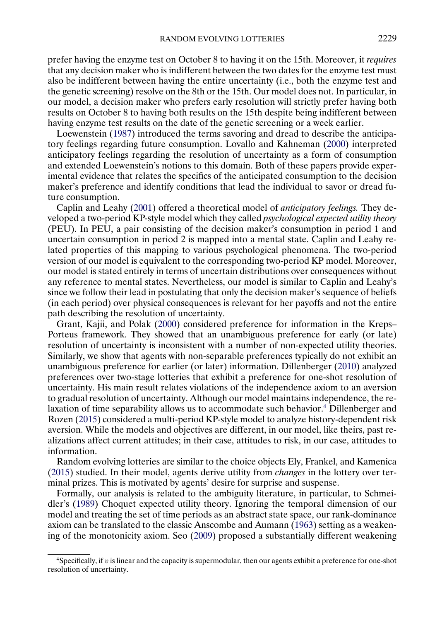<span id="page-4-0"></span>prefer having the enzyme test on October 8 to having it on the 15th. Moreover, it *requires* that any decision maker who is indifferent between the two dates for the enzyme test must also be indifferent between having the entire uncertainty (i.e., both the enzyme test and the genetic screening) resolve on the 8th or the 15th. Our model does not. In particular, in our model, a decision maker who prefers early resolution will strictly prefer having both results on October 8 to having both results on the 15th despite being indifferent between having enzyme test results on the date of the genetic screening or a week earlier.

Loewenstein [\(1987\)](#page-33-0) introduced the terms savoring and dread to describe the anticipatory feelings regarding future consumption. Lovallo and Kahneman [\(2000\)](#page-33-0) interpreted anticipatory feelings regarding the resolution of uncertainty as a form of consumption and extended Loewenstein's notions to this domain. Both of these papers provide experimental evidence that relates the specifics of the anticipated consumption to the decision maker's preference and identify conditions that lead the individual to savor or dread future consumption.

Caplin and Leahy [\(2001\)](#page-33-0) offered a theoretical model of *anticipatory feelings.* They developed a two-period KP-style model which they called *psychological expected utility theory* (PEU). In PEU, a pair consisting of the decision maker's consumption in period 1 and uncertain consumption in period 2 is mapped into a mental state. Caplin and Leahy related properties of this mapping to various psychological phenomena. The two-period version of our model is equivalent to the corresponding two-period KP model. Moreover, our model is stated entirely in terms of uncertain distributions over consequences without any reference to mental states. Nevertheless, our model is similar to Caplin and Leahy's since we follow their lead in postulating that only the decision maker's sequence of beliefs (in each period) over physical consequences is relevant for her payoffs and not the entire path describing the resolution of uncertainty.

Grant, Kajii, and Polak [\(2000\)](#page-33-0) considered preference for information in the Kreps– Porteus framework. They showed that an unambiguous preference for early (or late) resolution of uncertainty is inconsistent with a number of non-expected utility theories. Similarly, we show that agents with non-separable preferences typically do not exhibit an unambiguous preference for earlier (or later) information. Dillenberger [\(2010\)](#page-33-0) analyzed preferences over two-stage lotteries that exhibit a preference for one-shot resolution of uncertainty. His main result relates violations of the independence axiom to an aversion to gradual resolution of uncertainty. Although our model maintains independence, the relaxation of time separability allows us to accommodate such behavior.<sup>4</sup> Dillenberger and Rozen [\(2015\)](#page-33-0) considered a multi-period KP-style model to analyze history-dependent risk aversion. While the models and objectives are different, in our model, like theirs, past realizations affect current attitudes; in their case, attitudes to risk, in our case, attitudes to information.

Random evolving lotteries are similar to the choice objects Ely, Frankel, and Kamenica [\(2015\)](#page-33-0) studied. In their model, agents derive utility from *changes* in the lottery over terminal prizes. This is motivated by agents' desire for surprise and suspense.

Formally, our analysis is related to the ambiguity literature, in particular, to Schmeidler's [\(1989\)](#page-34-0) Choquet expected utility theory. Ignoring the temporal dimension of our model and treating the set of time periods as an abstract state space, our rank-dominance axiom can be translated to the classic Anscombe and Aumann [\(1963\)](#page-33-0) setting as a weakening of the monotonicity axiom. Seo [\(2009\)](#page-34-0) proposed a substantially different weakening

 $4$ Specifically, if v is linear and the capacity is supermodular, then our agents exhibit a preference for one-shot resolution of uncertainty.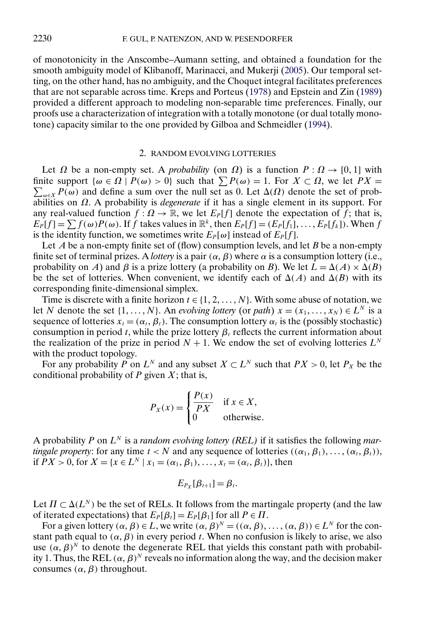<span id="page-5-0"></span>of monotonicity in the Anscombe–Aumann setting, and obtained a foundation for the smooth ambiguity model of Klibanoff, Marinacci, and Mukerji [\(2005\)](#page-33-0). Our temporal setting, on the other hand, has no ambiguity, and the Choquet integral facilitates preferences that are not separable across time. Kreps and Porteus [\(1978\)](#page-33-0) and Epstein and Zin [\(1989\)](#page-33-0) provided a different approach to modeling non-separable time preferences. Finally, our proofs use a characterization of integration with a totally monotone (or dual totally monotone) capacity similar to the one provided by Gilboa and Schmeidler [\(1994\)](#page-33-0).

### 2. RANDOM EVOLVING LOTTERIES

Let  $\Omega$  be a non-empty set. A *probability* (on  $\Omega$ ) is a function  $P : \Omega \to [0, 1]$  with finite support  $\{\omega \in \Omega \mid P(\omega) > 0\}$  such that  $\sum P(\omega) = 1$ . For  $X \subset \Omega$ , we let  $PX = \Omega$  $\sum_{\omega \in X} P(\omega)$  and define a sum over the null set as 0. Let  $\Delta(\Omega)$  denote the set of probabilities on Ω. A probability is *degenerate* if it has a single element in its support. For any real-valued function  $f: \Omega \to \mathbb{R}$ , we let  $E_P[f]$  denote the expectation of f; that is,  $E_P[f] = \sum f(\omega)P(\omega)$ . If f takes values in  $\mathbb{R}^k$ , then  $E_P[f] = (E_P[f_1], \dots, E_P[f_k])$ . When f is the identity function, we sometimes write  $E_P[\omega]$  instead of  $E_P[f]$ .

Let A be a non-empty finite set of (flow) consumption levels, and let B be a non-empty finite set of terminal prizes. A *lottery* is a pair  $(\alpha, \beta)$  where  $\alpha$  is a consumption lottery (i.e., probability on A) and β is a prize lottery (a probability on B). We let  $\hat{L} = \Delta(A) \times \Delta(B)$ be the set of lotteries. When convenient, we identify each of  $\Delta(A)$  and  $\Delta(B)$  with its corresponding finite-dimensional simplex.

Time is discrete with a finite horizon  $t \in \{1, 2, \ldots, N\}$ . With some abuse of notation, we let N denote the set  $\{1, \ldots, N\}$ . An *evolving lottery* (or *path*)  $x = (x_1, \ldots, x_N) \in L^N$  is a sequence of lotteries  $x_t = (\alpha_t, \beta_t)$ . The consumption lottery  $\alpha_t$  is the (possibly stochastic) consumption in period t, while the prize lottery  $\beta_t$  reflects the current information about the realization of the prize in period  $N + 1$ . We endow the set of evolving lotteries  $L^N$ with the product topology.

For any probability P on  $L^N$  and any subset  $X \subset L^N$  such that  $PX > 0$ , let  $P_X$  be the conditional probability of  $P$  given  $X$ ; that is,

$$
P_X(x) = \begin{cases} \frac{P(x)}{PX} & \text{if } x \in X, \\ 0 & \text{otherwise.} \end{cases}
$$

A probability P on  $L^N$  is a *random evolving lottery (REL)* if it satisfies the following *martingale property*: for any time  $t < N$  and any sequence of lotteries  $((\alpha_1, \beta_1), \ldots, (\alpha_t, \beta_t)),$ if  $PX > 0$ , for  $X = \{x \in L^N | x_1 = (\alpha_1, \beta_1), \dots, x_t = (\alpha_t, \beta_t)\}\)$ , then

$$
E_{P_X}[\beta_{t+1}] = \beta_t.
$$

Let  $\Pi \subset \Delta(L^N)$  be the set of RELs. It follows from the martingale property (and the law of iterated expectations) that  $E_P[\beta_t] = E_P[\beta_1]$  for all  $P \in \Pi$ .

For a given lottery  $(\alpha, \beta) \in L$ , we write  $(\alpha, \beta)^N = ((\alpha, \beta), \dots, (\alpha, \beta)) \in L^N$  for the constant path equal to  $(\alpha, \beta)$  in every period t. When no confusion is likely to arise, we also use  $(\alpha, \beta)^N$  to denote the degenerate REL that yields this constant path with probability 1. Thus, the REL  $(\alpha, \beta)^N$  reveals no information along the way, and the decision maker consumes  $(\alpha, \beta)$  throughout.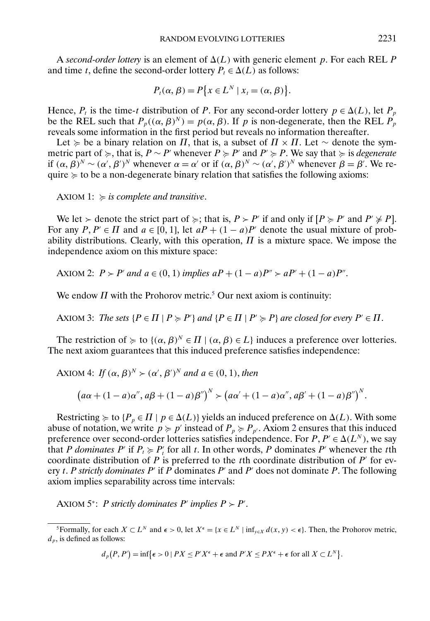<span id="page-6-0"></span>A *second-order lottery* is an element of  $\Delta(L)$  with generic element p. For each REL P and time t, define the second-order lottery  $P_t \in \Delta(L)$  as follows:

$$
P_t(\alpha, \beta) = P\{x \in L^N \mid x_t = (\alpha, \beta)\}.
$$

Hence,  $P_t$  is the time-t distribution of P. For any second-order lottery  $p \in \Delta(L)$ , let  $P_p$ be the REL such that  $P_p((\alpha, \beta)^N) = p(\alpha, \beta)$ . If p is non-degenerate, then the REL  $P_p$ reveals some information in the first period but reveals no information thereafter.

Let  $\succcurlyeq$  be a binary relation on  $\Pi$ , that is, a subset of  $\Pi \times \Pi$ . Let  $\sim$  denote the symmetric part of  $\succcurlyeq$ , that is,  $P \sim P'$  whenever  $P \succcurlyeq P'$  and  $P' \succcurlyeq P$ . We say that  $\succcurlyeq$  is *degenerate* if  $(\alpha, \beta)^N \sim (\alpha', \beta')^N$  whenever  $\alpha = \alpha'$  or if  $(\alpha, \beta)^N \sim (\alpha', \beta')^N$  whenever  $\beta = \beta'$ . We require  $\succcurlyeq$  to be a non-degenerate binary relation that satisfies the following axioms:

AXIOM 1:  $\succcurlyeq$  is complete and transitive.

We let  $\succ$  denote the strict part of  $\succ$ ; that is,  $P \succ P'$  if and only if  $[P \succ P'$  and  $P' \not\succ P]$ . For any  $P, P' \in \Pi$  and  $a \in [0, 1]$ , let  $aP + (1 - a)P'$  denote the usual mixture of probability distributions. Clearly, with this operation,  $\Pi$  is a mixture space. We impose the independence axiom on this mixture space:

AXIOM 2:  $P > P'$  and  $a \in (0, 1)$  *implies*  $aP + (1 - a)P'' > aP' + (1 - a)P''$ .

We endow  $\Pi$  with the Prohorov metric.<sup>5</sup> Our next axiom is continuity:

AXIOM 3: *The sets*  $\{P \in \Pi \mid P \succcurlyeq P'\}$  and  $\{P \in \Pi \mid P' \succcurlyeq P\}$  are closed for every  $P' \in \Pi$ .

The restriction of  $\succcurlyeq$  to  $\{(\alpha, \beta)^N \in \Pi \mid (\alpha, \beta) \in L\}$  induces a preference over lotteries. The next axiom guarantees that this induced preference satisfies independence:

AXIOM 4: *If*  $(\alpha, \beta)^N > (\alpha', \beta')^N$  and  $a \in (0, 1)$ , then

$$
(a\alpha + (1 - a)\alpha'', a\beta + (1 - a)\beta'')^{N} > (a\alpha' + (1 - a)\alpha'', a\beta' + (1 - a)\beta'')^{N}.
$$

Restricting  $\succeq$  to  $\{P_p \in \Pi \mid p \in \Delta(L)\}$  yields an induced preference on  $\Delta(L)$ . With some abuse of notation, we write  $p \succcurlyeq p'$  instead of  $P_p \succcurlyeq P_{p'}$ . Axiom 2 ensures that this induced preference over second-order lotteries satisfies independence. For  $P, P' \in \Delta(L^N)$ , we say that P dominates P' if  $P_t \ge P'_t$  for all t. In other words, P dominates P' whenever the tth coordinate distribution of P is preferred to the tth coordinate distribution of P' for every t. P *strictly dominates* P' if P dominates P' and P' does not dominate P. The following axiom implies separability across time intervals:

AXIOM  $5^*$ : *P strictly dominates P' implies*  $P > P'$ *.* 

$$
d_p(P, P') = \inf \{ \epsilon > 0 \mid PX \le P'X^{\epsilon} + \epsilon \text{ and } P'X \le PX^{\epsilon} + \epsilon \text{ for all } X \subset L^N \}.
$$

<sup>&</sup>lt;sup>5</sup>Formally, for each  $X \subset L^N$  and  $\epsilon > 0$ , let  $X^{\epsilon} = \{x \in L^N \mid \inf_{y \in X} d(x, y) < \epsilon\}$ . Then, the Prohorov metric,  $d_p$ , is defined as follows: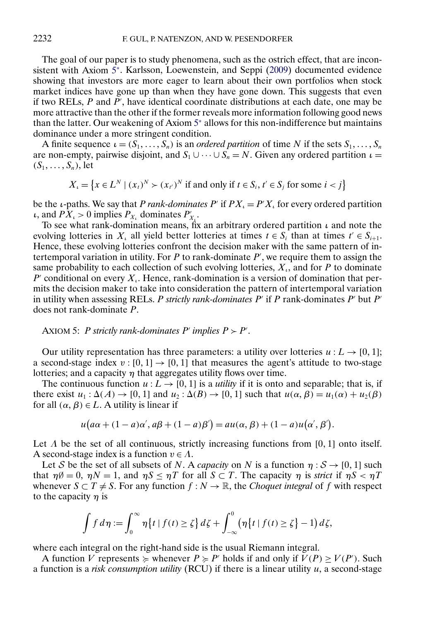<span id="page-7-0"></span>The goal of our paper is to study phenomena, such as the ostrich effect, that are inconsistent with Axiom [5](#page-6-0)<sup>∗</sup>. Karlsson, Loewenstein, and Seppi [\(2009\)](#page-33-0) documented evidence showing that investors are more eager to learn about their own portfolios when stock market indices have gone up than when they have gone down. This suggests that even if two RELs,  $P$  and  $P'$ , have identical coordinate distributions at each date, one may be more attractive than the other if the former reveals more information following good news than the latter. Our weakening of Axiom [5](#page-6-0)<sup>∗</sup> allows for this non-indifference but maintains dominance under a more stringent condition.

A finite sequence  $\iota = (S_1, \ldots, S_n)$  is an *ordered partition* of time N if the sets  $S_1, \ldots, S_n$ are non-empty, pairwise disjoint, and  $S_1 \cup \cdots \cup S_n = N$ . Given any ordered partition  $\iota$  $(S_1, \ldots, S_n)$ , let

$$
X_{\iota} = \{ x \in L^N \mid (x_t)^N \succ (x_{t'})^N \text{ if and only if } t \in S_i, t' \in S_j \text{ for some } i < j \}
$$

be the *i*-paths. We say that *P rank-dominates P'* if  $PX_i = P'X_i$  for every ordered partition *ι*, and  $PX_{\iota} > 0$  implies  $P_{X_{\iota}}$  dominates  $P'_{X_{\iota}}$ .

To see what rank-domination means, fix an arbitrary ordered partition  $\iota$  and note the evolving lotteries in  $X_i$  all yield better lotteries at times  $t \in S_i$  than at times  $t' \in S_{i+1}$ . Hence, these evolving lotteries confront the decision maker with the same pattern of intertemporal variation in utility. For  $P$  to rank-dominate  $P'$ , we require them to assign the same probability to each collection of such evolving lotteries,  $X_i$ , and for P to dominate P' conditional on every  $X_i$ . Hence, rank-domination is a version of domination that permits the decision maker to take into consideration the pattern of intertemporal variation in utility when assessing RELs. P *strictly rank-dominates*  $P'$  if P rank-dominates  $P'$  but  $P'$ does not rank-dominate P.

# AXIOM 5: P *strictly rank-dominates*  $P'$  *implies*  $P > P'$ .

Our utility representation has three parameters: a utility over lotteries  $u : L \rightarrow [0, 1]$ ; a second-stage index  $v : [0, 1] \rightarrow [0, 1]$  that measures the agent's attitude to two-stage lotteries; and a capacity  $\eta$  that aggregates utility flows over time.

The continuous function  $u : L \to [0, 1]$  is a *utility* if it is onto and separable; that is, if there exist  $u_1 : \Delta(A) \to [0, 1]$  and  $u_2 : \Delta(B) \to [0, 1]$  such that  $u(\alpha, \beta) = u_1(\alpha) + u_2(\beta)$ for all  $(\alpha, \beta) \in L$ . A utility is linear if

$$
u(a\alpha + (1-a)\alpha', a\beta + (1-a)\beta') = au(\alpha, \beta) + (1-a)u(\alpha', \beta').
$$

Let  $\Lambda$  be the set of all continuous, strictly increasing functions from [0, 1] onto itself. A second-stage index is a function  $v \in \Lambda$ .

Let S be the set of all subsets of N. A *capacity* on N is a function  $\eta : S \to [0, 1]$  such that  $\eta \emptyset = 0$ ,  $\eta N = 1$ , and  $\eta S \leq \eta T$  for all  $S \subset T$ . The capacity  $\eta$  is *strict* if  $\eta S < \eta T$ whenever  $S \subset T \neq S$ . For any function  $f : N \to \mathbb{R}$ , the *Choquet integral* of f with respect to the capacity  $\eta$  is

$$
\int f d\eta := \int_0^\infty \eta \{t \mid f(t) \ge \zeta\} d\zeta + \int_{-\infty}^0 (\eta \{t \mid f(t) \ge \zeta\} - 1) d\zeta,
$$

where each integral on the right-hand side is the usual Riemann integral.

A function V represents  $\succcurlyeq$  whenever  $P \succcurlyeq P'$  holds if and only if  $V(P) \ge V(P')$ . Such a function is a *risk consumption utility* (RCU) if there is a linear utility u, a second-stage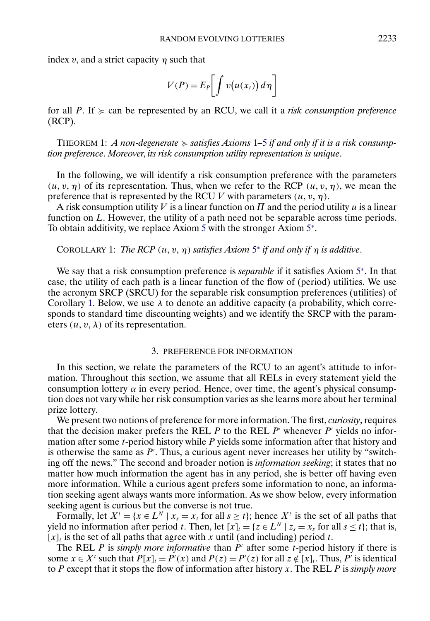<span id="page-8-0"></span>index v, and a strict capacity  $\eta$  such that

$$
V(P) = E_P \bigg[ \int v(u(x_t)) d\eta \bigg]
$$

for all  $P$ . If  $\succcurlyeq$  can be represented by an RCU, we call it a *risk consumption preference* (RCP).

THEOREM [1](#page-6-0): A non-degenerate  $\succcurlyeq$  satisfies Axioms 1–[5](#page-7-0) if and only if it is a risk consump*tion preference*. *Moreover*, *its risk consumption utility representation is unique*.

In the following, we will identify a risk consumption preference with the parameters  $(u, v, \eta)$  of its representation. Thus, when we refer to the RCP  $(u, v, \eta)$ , we mean the preference that is represented by the RCU V with parameters  $(u, v, \eta)$ .

A risk consumption utility V is a linear function on  $\Pi$  and the period utility  $u$  is a linear function on  $L$ . However, the utility of a path need not be separable across time periods. To obtain additivity, we replace Axiom [5](#page-7-0) with the stronger Axiom [5](#page-6-0)<sup>∗</sup>.

#### COROLLARY 1: *The RCP*  $(u, v, \eta)$  *satisfies Axiom* [5](#page-6-0)<sup>*\*</sup> if and only if*  $\eta$  *is additive.*</sup>

We say that a risk consumption preference is *separable* if it satisfies Axiom [5](#page-6-0)<sup>∗</sup>. In that case, the utility of each path is a linear function of the flow of (period) utilities. We use the acronym SRCP (SRCU) for the separable risk consumption preferences (utilities) of Corollary 1. Below, we use  $\lambda$  to denote an additive capacity (a probability, which corresponds to standard time discounting weights) and we identify the SRCP with the parameters  $(u, v, \lambda)$  of its representation.

#### 3. PREFERENCE FOR INFORMATION

In this section, we relate the parameters of the RCU to an agent's attitude to information. Throughout this section, we assume that all RELs in every statement yield the consumption lottery  $\alpha$  in every period. Hence, over time, the agent's physical consumption does not vary while her risk consumption varies as she learns more about her terminal prize lottery.

We present two notions of preference for more information. The first, *curiosity*, requires that the decision maker prefers the REL P to the REL P' whenever P' yields no information after some t-period history while P yields some information after that history and is otherwise the same as  $P'$ . Thus, a curious agent never increases her utility by "switching off the news." The second and broader notion is *information seeking*; it states that no matter how much information the agent has in any period, she is better off having even more information. While a curious agent prefers some information to none, an information seeking agent always wants more information. As we show below, every information seeking agent is curious but the converse is not true.

Formally, let  $X' = \{x \in L^N | x_s = x_t \text{ for all } s \ge t\}$ ; hence  $X'$  is the set of all paths that yield no information after period t. Then, let  $[x]_t = \{z \in L^N | z_s = x_s \text{ for all } s \le t\}$ ; that is,  $[x]_t$  is the set of all paths that agree with x until (and including) period t.

The REL P is *simply more informative* than  $P'$  after some t-period history if there is some  $x \in X^t$  such that  $P[x]_t = P'(x)$  and  $P(z) = P'(z)$  for all  $z \notin [x]_t$ . Thus, P' is identical to P except that it stops the flow of information after history x. The REL P is *simply more*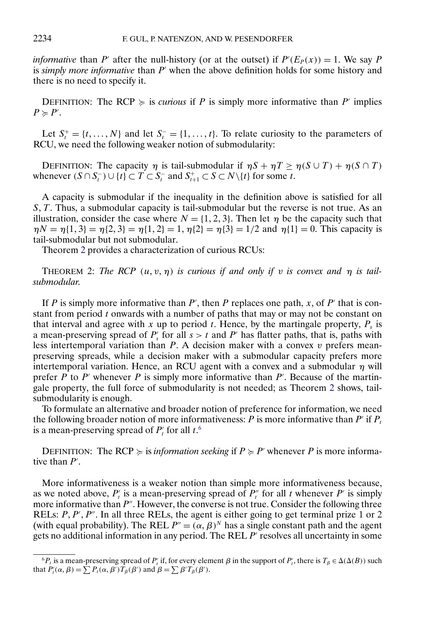<span id="page-9-0"></span>*informative* than P' after the null-history (or at the outset) if  $P'(E_P(x)) = 1$ . We say P is *simply more informative* than P' when the above definition holds for some history and there is no need to specify it.

DEFINITION: The RCP  $\succcurlyeq$  is *curious* if P is simply more informative than P' implies  $P \succcurlyeq P'$ .

Let  $S_t^+ = \{t, ..., N\}$  and let  $S_t^- = \{1, ..., t\}$ . To relate curiosity to the parameters of RCU, we need the following weaker notion of submodularity:

DEFINITION: The capacity  $\eta$  is tail-submodular if  $\eta S + \eta T \ge \eta (S \cup T) + \eta (S \cap T)$ whenever  $(S \cap S_t^-) \cup \{t\} \subset T \subset S_t^-$  and  $S_{t+1}^+ \subset S \subset N \setminus \{t\}$  for some t.

A capacity is submodular if the inequality in the definition above is satisfied for all  $S, T$ . Thus, a submodular capacity is tail-submodular but the reverse is not true. As an illustration, consider the case where  $N = \{1, 2, 3\}$ . Then let  $\eta$  be the capacity such that  $\eta N = \eta \{1, 3\} = \eta \{2, 3\} = \eta \{1, 2\} = 1, \eta \{2\} = \eta \{3\} = \frac{1}{2}$  and  $\eta \{1\} = 0$ . This capacity is tail-submodular but not submodular.

Theorem 2 provides a characterization of curious RCUs:

**THEOREM** 2: The RCP  $(u, v, \eta)$  is curious if and only if v is convex and  $\eta$  is tail*submodular*.

If P is simply more informative than  $P'$ , then P replaces one path, x, of P' that is constant from period  $t$  onwards with a number of paths that may or may not be constant on that interval and agree with x up to period t. Hence, by the martingale property,  $P_s$  is a mean-preserving spread of  $P'_{s}$  for all  $s > t$  and  $P'$  has flatter paths, that is, paths with less intertemporal variation than  $P$ . A decision maker with a convex  $v$  prefers meanpreserving spreads, while a decision maker with a submodular capacity prefers more intertemporal variation. Hence, an RCU agent with a convex and a submodular  $\eta$  will prefer  $P$  to  $P'$  whenever  $P$  is simply more informative than  $P'$ . Because of the martingale property, the full force of submodularity is not needed; as Theorem 2 shows, tailsubmodularity is enough.

To formulate an alternative and broader notion of preference for information, we need the following broader notion of more informativeness: P is more informative than P' if  $P_t$ is a mean-preserving spread of  $P'_t$  for all  $t$ <sup>6</sup>

DEFINITION: The RCP  $\succcurlyeq$  is *information seeking* if  $P \succcurlyeq P'$  whenever P is more informative than  $P'$ .

More informativeness is a weaker notion than simple more informativeness because, as we noted above,  $P'_t$  is a mean-preserving spread of  $P''_t$  for all t whenever P' is simply more informative than  $P''$ . However, the converse is not true. Consider the following three RELs:  $P, P', P''$ . In all three RELs, the agent is either going to get terminal prize 1 or 2 (with equal probability). The REL  $P'' = (\alpha, \beta)^N$  has a single constant path and the agent gets no additional information in any period. The REL  $P'$  resolves all uncertainty in some

 ${}^6P_t$  is a mean-preserving spread of  $P'_t$  if, for every element  $\beta$  in the support of  $P'_t$ , there is  $T_\beta \in \Delta(\Delta(B))$  such that  $P'_t(\alpha, \beta) = \sum P_t(\alpha, \beta') T_\beta(\beta')$  and  $\beta = \sum \beta' T_\beta(\beta').$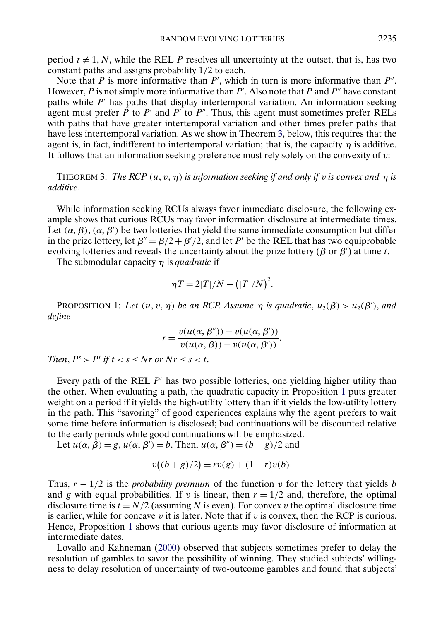<span id="page-10-0"></span>period  $t \neq 1, N$ , while the REL P resolves all uncertainty at the outset, that is, has two constant paths and assigns probability 1/2 to each.

Note that  $P$  is more informative than  $P'$ , which in turn is more informative than  $P''$ . However,  $P$  is not simply more informative than  $P'$ . Also note that  $P$  and  $P''$  have constant paths while  $P'$  has paths that display intertemporal variation. An information seeking agent must prefer  $\overline{P}$  to  $P'$  and  $P'$  to  $P''$ . Thus, this agent must sometimes prefer RELs with paths that have greater intertemporal variation and other times prefer paths that have less intertemporal variation. As we show in Theorem 3, below, this requires that the agent is, in fact, indifferent to intertemporal variation; that is, the capacity  $\eta$  is additive. It follows that an information seeking preference must rely solely on the convexity of  $v$ :

THEOREM 3: *The RCP*  $(u, v, \eta)$  *is information seeking if and only if* v *is convex and*  $\eta$  *is additive*.

While information seeking RCUs always favor immediate disclosure, the following example shows that curious RCUs may favor information disclosure at intermediate times. Let  $(\alpha, \beta)$ ,  $(\alpha, \beta')$  be two lotteries that yield the same immediate consumption but differ in the prize lottery, let  $\beta'' = \beta/2 + \beta'/2$ , and let P<sup>t</sup> be the REL that has two equiprobable evolving lotteries and reveals the uncertainty about the prize lottery ( $\beta$  or  $\beta'$ ) at time t.

The submodular capacity η is *quadratic* if

$$
\eta T = 2|T|/N - (|T|/N)^2.
$$

PROPOSITION 1: Let  $(u, v, \eta)$  be an RCP. Assume  $\eta$  is quadratic,  $u_2(\beta) > u_2(\beta')$ , and *define*

$$
r = \frac{v(u(\alpha, \beta'')) - v(u(\alpha, \beta'))}{v(u(\alpha, \beta)) - v(u(\alpha, \beta'))}.
$$

*Then,*  $P^s > P^t$  *if*  $t < s < Nr$  *or*  $Nr < s < t$ .

Every path of the REL  $P<sup>t</sup>$  has two possible lotteries, one yielding higher utility than the other. When evaluating a path, the quadratic capacity in Proposition 1 puts greater weight on a period if it yields the high-utility lottery than if it yields the low-utility lottery in the path. This "savoring" of good experiences explains why the agent prefers to wait some time before information is disclosed; bad continuations will be discounted relative to the early periods while good continuations will be emphasized.

Let  $u(\alpha, \beta) = g$ ,  $u(\alpha, \beta') = b$ . Then,  $u(\alpha, \beta'') = (b + g)/2$  and

$$
v((b+g)/2) = rv(g) + (1-r)v(b).
$$

Thus,  $r - 1/2$  is the *probability premium* of the function v for the lottery that yields b and g with equal probabilities. If v is linear, then  $r = 1/2$  and, therefore, the optimal disclosure time is  $t = N/2$  (assuming N is even). For convex v the optimal disclosure time is earlier, while for concave v it is later. Note that if v is convex, then the RCP is curious. Hence, Proposition 1 shows that curious agents may favor disclosure of information at intermediate dates.

Lovallo and Kahneman [\(2000\)](#page-33-0) observed that subjects sometimes prefer to delay the resolution of gambles to savor the possibility of winning. They studied subjects' willingness to delay resolution of uncertainty of two-outcome gambles and found that subjects'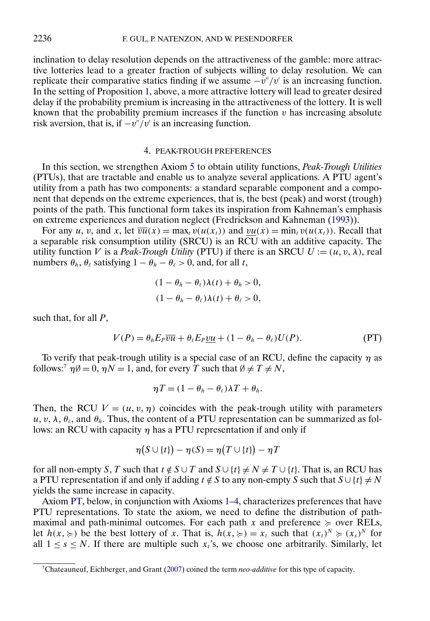<span id="page-11-0"></span>inclination to delay resolution depends on the attractiveness of the gamble: more attractive lotteries lead to a greater fraction of subjects willing to delay resolution. We can replicate their comparative statics finding if we assume  $-v''/v'$  is an increasing function. In the setting of Proposition [1,](#page-10-0) above, a more attractive lottery will lead to greater desired delay if the probability premium is increasing in the attractiveness of the lottery. It is well known that the probability premium increases if the function  $v$  has increasing absolute risk aversion, that is, if  $-v''/v'$  is an increasing function.

#### 4. PEAK-TROUGH PREFERENCES

In this section, we strengthen Axiom [5](#page-7-0) to obtain utility functions, *Peak-Trough Utilities* (PTUs), that are tractable and enable us to analyze several applications. A PTU agent's utility from a path has two components: a standard separable component and a component that depends on the extreme experiences, that is, the best (peak) and worst (trough) points of the path. This functional form takes its inspiration from Kahneman's emphasis on extreme experiences and duration neglect (Fredrickson and Kahneman [\(1993\)](#page-33-0)).

For any u, v, and x, let  $\overline{vu}(x) = \max_t v(u(x_t))$  and  $\underline{vu}(x) = \min_t v(u(x_t))$ . Recall that a separable risk consumption utility (SRCU) is an RCU with an additive capacity. The utility function V is a *Peak-Trough Utility* (PTU) if there is an SRCU  $U := (u, v, \lambda)$ , real numbers  $\theta_h$ ,  $\theta_\ell$  satisfying  $1 - \theta_h - \theta_\ell > 0$ , and, for all t,

$$
(1 - \theta_h - \theta_\ell)\lambda(t) + \theta_h > 0,
$$
  

$$
(1 - \theta_h - \theta_\ell)\lambda(t) + \theta_\ell > 0,
$$

such that, for all  $P$ ,

$$
V(P) = \theta_h E_P \overline{vu} + \theta_\ell E_P \underline{vu} + (1 - \theta_h - \theta_\ell) U(P). \tag{PT}
$$

To verify that peak-trough utility is a special case of an RCU, define the capacity  $\eta$  as follows:<sup>7</sup>  $\eta \emptyset = 0$ ,  $\eta N = 1$ , and, for every T such that  $\emptyset \neq T \neq N$ ,

$$
\eta T = (1 - \theta_h - \theta_\ell) \lambda T + \theta_h.
$$

Then, the RCU  $V = (u, v, \eta)$  coincides with the peak-trough utility with parameters  $u, v, \lambda, \theta_{\ell}$ , and  $\theta_h$ . Thus, the content of a PTU representation can be summarized as follows: an RCU with capacity  $\eta$  has a PTU representation if and only if

$$
\eta(S \cup \{t\}) - \eta(S) = \eta(T \cup \{t\}) - \eta T
$$

for all non-empty S, T such that  $t \notin S \cup T$  and  $S \cup \{t\} \neq N \neq T \cup \{t\}$ . That is, an RCU has a PTU representation if and only if adding  $t \notin S$  to any non-empty S such that  $S \cup \{t\} \neq N$ yields the same increase in capacity.

Axiom [PT,](#page-12-0) below, in conjunction with Axioms [1–4,](#page-6-0) characterizes preferences that have PTU representations. To state the axiom, we need to define the distribution of pathmaximal and path-minimal outcomes. For each path x and preference  $\succcurlyeq$  over RELs, let  $h(x, \geq)$  be the best lottery of x. That is,  $h(x, \geq) = x_t$  such that  $(x_t)^N \geq (x_s)^N$  for all  $1 \leq s \leq N$ . If there are multiple such  $x_t$ 's, we choose one arbitrarily. Similarly, let

<sup>7</sup>Chateauneuf, Eichberger, and Grant [\(2007\)](#page-33-0) coined the term *neo-additive* for this type of capacity.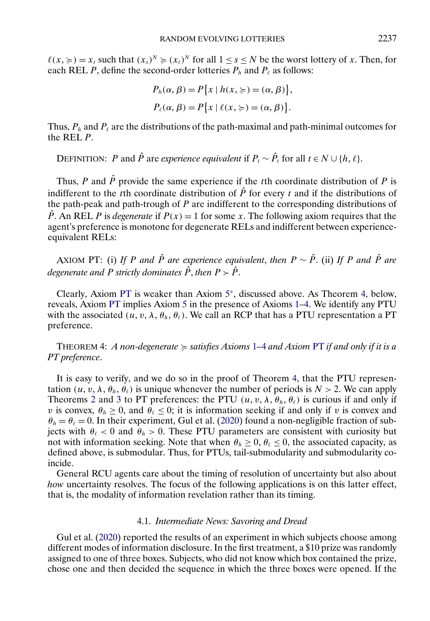<span id="page-12-0"></span> $\ell(x, \geqslant) = x_t$  such that  $(x_s)^N \geqslant (x_t)^N$  for all  $1 \leq s \leq N$  be the worst lottery of x. Then, for each REL P, define the second-order lotteries  $P_h$  and  $P_\ell$  as follows:

$$
P_h(\alpha, \beta) = P\{x \mid h(x, \geqslant) = (\alpha, \beta)\},
$$
  

$$
P_\ell(\alpha, \beta) = P\{x \mid \ell(x, \geqslant) = (\alpha, \beta)\}.
$$

Thus,  $P_h$  and  $P_\ell$  are the distributions of the path-maximal and path-minimal outcomes for the REL P.

DEFINITION: P and  $\hat{P}$  are *experience equivalent* if  $P_t \sim \hat{P}_t$  for all  $t \in N \cup \{h, \ell\}$ .

Thus, P and  $\hat{P}$  provide the same experience if the tth coordinate distribution of P is indifferent to the tth coordinate distribution of  $\hat{P}$  for every t and if the distributions of the path-peak and path-trough of  $P$  are indifferent to the corresponding distributions of  $\hat{P}$ . An REL P is *degenerate* if  $P(x) = 1$  for some x. The following axiom requires that the agent's preference is monotone for degenerate RELs and indifferent between experienceequivalent RELs:

AXIOM PT: (i) If P and  $\hat{P}$  are experience equivalent, then  $P \sim \hat{P}$ . (ii) If P and  $\hat{P}$  are *degenerate and* P *strictly dominates*  $\hat{P}$ *, then*  $P > \hat{P}$ *.* 

Clearly, Axiom PT is weaker than Axiom [5](#page-6-0)<sup>∗</sup>, discussed above. As Theorem 4, below, reveals, Axiom PT implies Axiom [5](#page-7-0) in the presence of Axioms [1–4.](#page-6-0) We identify any PTU with the associated  $(u, v, \lambda, \theta_h, \theta_\ell)$ . We call an RCP that has a PTU representation a PT preference.

THEOREM 4: *A non-degenerate* - *satisfies Axioms* [1](#page-6-0)*–*[4](#page-6-0) *and Axiom* PT *if and only if it is a PT preference*.

It is easy to verify, and we do so in the proof of Theorem 4, that the PTU representation  $(u, v, \lambda, \theta_h, \dot{\theta}_l)$  is unique whenever the number of periods is  $N > 2$ . We can apply Theorems [2](#page-9-0) and [3](#page-10-0) to PT preferences: the PTU  $(u, v, \lambda, \theta_h, \theta_\ell)$  is curious if and only if v is convex,  $\theta_h \ge 0$ , and  $\theta_\ell \le 0$ ; it is information seeking if and only if v is convex and  $\theta_h = \theta_\ell = 0$ . In their experiment, Gul et al. [\(2020\)](#page-33-0) found a non-negligible fraction of subjects with  $\theta_{\ell}$  < 0 and  $\theta_{h}$  > 0. These PTU parameters are consistent with curiosity but not with information seeking. Note that when  $\theta_h \geq 0$ ,  $\theta_\ell \leq 0$ , the associated capacity, as defined above, is submodular. Thus, for PTUs, tail-submodularity and submodularity coincide.

General RCU agents care about the timing of resolution of uncertainty but also about *how* uncertainty resolves. The focus of the following applications is on this latter effect, that is, the modality of information revelation rather than its timing.

### 4.1. *Intermediate News: Savoring and Dread*

Gul et al. [\(2020\)](#page-33-0) reported the results of an experiment in which subjects choose among different modes of information disclosure. In the first treatment, a \$10 prize was randomly assigned to one of three boxes. Subjects, who did not know which box contained the prize, chose one and then decided the sequence in which the three boxes were opened. If the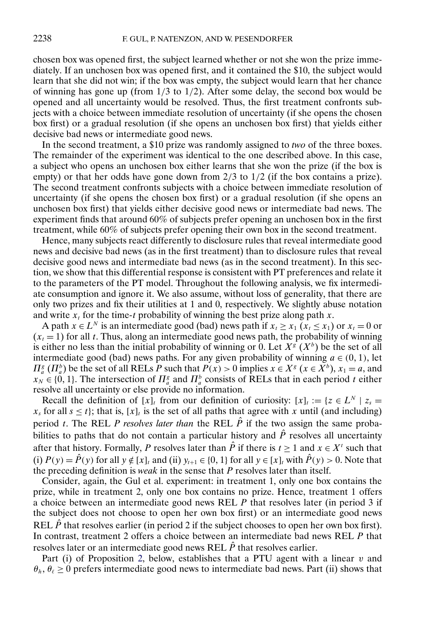chosen box was opened first, the subject learned whether or not she won the prize immediately. If an unchosen box was opened first, and it contained the \$10, the subject would learn that she did not win; if the box was empty, the subject would learn that her chance of winning has gone up (from  $1/3$  to  $1/2$ ). After some delay, the second box would be opened and all uncertainty would be resolved. Thus, the first treatment confronts subjects with a choice between immediate resolution of uncertainty (if she opens the chosen box first) or a gradual resolution (if she opens an unchosen box first) that yields either decisive bad news or intermediate good news.

In the second treatment, a \$10 prize was randomly assigned to *two* of the three boxes. The remainder of the experiment was identical to the one described above. In this case, a subject who opens an unchosen box either learns that she won the prize (if the box is empty) or that her odds have gone down from  $2/3$  to  $1/2$  (if the box contains a prize). The second treatment confronts subjects with a choice between immediate resolution of uncertainty (if she opens the chosen box first) or a gradual resolution (if she opens an unchosen box first) that yields either decisive good news or intermediate bad news. The experiment finds that around 60% of subjects prefer opening an unchosen box in the first treatment, while 60% of subjects prefer opening their own box in the second treatment.

Hence, many subjects react differently to disclosure rules that reveal intermediate good news and decisive bad news (as in the first treatment) than to disclosure rules that reveal decisive good news and intermediate bad news (as in the second treatment). In this section, we show that this differential response is consistent with PT preferences and relate it to the parameters of the PT model. Throughout the following analysis, we fix intermediate consumption and ignore it. We also assume, without loss of generality, that there are only two prizes and fix their utilities at 1 and 0, respectively. We slightly abuse notation and write  $x_t$  for the time-t probability of winning the best prize along path x.

A path  $x \in L^N$  is an intermediate good (bad) news path if  $x_t \ge x_1$  ( $x_t \le x_1$ ) or  $x_t = 0$  or  $(x_t = 1)$  for all t. Thus, along an intermediate good news path, the probability of winning is either no less than the initial probability of winning or 0. Let  $X^{\overline{s}}(X^b)$  be the set of all intermediate good (bad) news paths. For any given probability of winning  $a \in (0, 1)$ , let  $\Pi_{a}^{g}$  ( $\Pi_{a}^{b}$ ) be the set of all RELs P such that  $P(x) > 0$  implies  $x \in X^{g}$  ( $x \in X^{b}$ ),  $x_{1} = a$ , and  $x_N \in \{0, 1\}$ . The intersection of  $\Pi_a^g$  and  $\Pi_a^b$  consists of RELs that in each period t either resolve all uncertainty or else provide no information.

Recall the definition of  $[x]_t$  from our definition of curiosity:  $[x]_t := \{z \in L^N \mid z_s =$  $x_s$  for all  $s \le t$ ; that is,  $[x]_t$  is the set of all paths that agree with x until (and including) period t. The REL P *resolves later than* the REL  $\hat{P}$  if the two assign the same probabilities to paths that do not contain a particular history and  $\hat{P}$  resolves all uncertainty after that history. Formally, P resolves later than  $\hat{P}$  if there is  $t \ge 1$  and  $x \in X^t$  such that (i)  $P(y) = \hat{P}(y)$  for all  $y \notin [x]_t$  and (ii)  $y_{t+1} \in \{0, 1\}$  for all  $y \in [x]_t$  with  $\hat{P}(y) > 0$ . Note that the preceding definition is *weak* in the sense that P resolves later than itself.

Consider, again, the Gul et al. experiment: in treatment 1, only one box contains the prize, while in treatment 2, only one box contains no prize. Hence, treatment 1 offers a choice between an intermediate good news REL P that resolves later (in period 3 if the subject does not choose to open her own box first) or an intermediate good news REL  $\hat{P}$  that resolves earlier (in period 2 if the subject chooses to open her own box first). In contrast, treatment 2 offers a choice between an intermediate bad news REL  $P$  that resolves later or an intermediate good news REL  $\hat{P}$  that resolves earlier.

Part (i) of Proposition [2,](#page-14-0) below, establishes that a PTU agent with a linear  $v$  and  $\theta_h$ ,  $\theta_\ell \geq 0$  prefers intermediate good news to intermediate bad news. Part (ii) shows that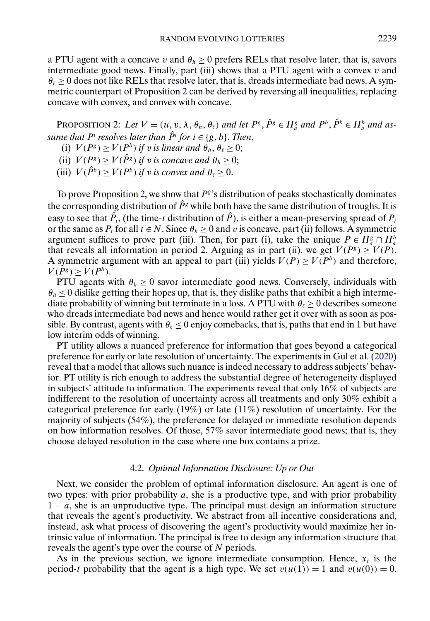<span id="page-14-0"></span>a PTU agent with a concave v and  $\theta_h \ge 0$  prefers RELs that resolve later, that is, savors intermediate good news. Finally, part (iii) shows that a PTU agent with a convex  $v$  and  $\theta_\ell \geq 0$  does not like RELs that resolve later, that is, dreads intermediate bad news. A symmetric counterpart of Proposition 2 can be derived by reversing all inequalities, replacing concave with convex, and convex with concave.

PROPOSITION 2: Let  $V = (u, v, \lambda, \theta_h, \theta_\ell)$  and let  $P^g, \hat{P}^g \in \Pi_a^g$  and  $P^b, \hat{P}^b \in \Pi_a^b$  and as*sume that*  $P<sup>i</sup>$  *resolves later than*  $\hat{P}$ <sup>*i*</sup> *for*  $i \in \{g, b\}$ *. Then,* 

- (i)  $V(P^g) \ge V(P^b)$  *if* v *is linear and*  $\theta_h$ ,  $\theta_\ell \ge 0$ ;
- (ii)  $V(P^g) \geq V(\hat{P}^g)$  *if v is concave and*  $\theta_h \geq 0$ ;
- (iii)  $V(\hat{P}^b) \ge V(P^b)$  *if v is convex and*  $\theta_\ell \ge 0$ .

To prove Proposition 2, we show that  $P^g$ 's distribution of peaks stochastically dominates the corresponding distribution of  $\hat{P}^g$  while both have the same distribution of troughs. It is easy to see that  $\hat{P}_t$ , (the time-t distribution of  $\hat{P}$ ), is either a mean-preserving spread of  $P_t$ or the same as  $P_t$  for all  $t \in N$ . Since  $\theta_h \ge 0$  and v is concave, part (ii) follows. A symmetric argument suffices to prove part (iii). Then, for part (i), take the unique  $P \in \prod_{a}^{g} \cap \prod_{a}^{b}$ that reveals all information in period 2. Arguing as in part (ii), we get  $V(P^g) \geq V(P)$ . A symmetric argument with an appeal to part (iii) yields  $V(P) \ge V(P^b)$  and therefore,  $V(P^g) > V(P^b)$ .

PTU agents with  $\theta_h \geq 0$  savor intermediate good news. Conversely, individuals with  $\theta_h \leq 0$  dislike getting their hopes up, that is, they dislike paths that exhibit a high intermediate probability of winning but terminate in a loss. A PTU with  $\theta_{\ell} \ge 0$  describes someone who dreads intermediate bad news and hence would rather get it over with as soon as possible. By contrast, agents with  $\theta_{\ell} \leq 0$  enjoy comebacks, that is, paths that end in 1 but have low interim odds of winning.

PT utility allows a nuanced preference for information that goes beyond a categorical preference for early or late resolution of uncertainty. The experiments in Gul et al. [\(2020\)](#page-33-0) reveal that a model that allows such nuance is indeed necessary to address subjects' behavior. PT utility is rich enough to address the substantial degree of heterogeneity displayed in subjects' attitude to information. The experiments reveal that only 16% of subjects are indifferent to the resolution of uncertainty across all treatments and only 30% exhibit a categorical preference for early  $(19\%)$  or late  $(11\%)$  resolution of uncertainty. For the majority of subjects (54%), the preference for delayed or immediate resolution depends on how information resolves. Of those, 57% savor intermediate good news; that is, they choose delayed resolution in the case where one box contains a prize.

## 4.2. *Optimal Information Disclosure: Up or Out*

Next, we consider the problem of optimal information disclosure. An agent is one of two types: with prior probability  $a$ , she is a productive type, and with prior probability  $1 - a$ , she is an unproductive type. The principal must design an information structure that reveals the agent's productivity. We abstract from all incentive considerations and, instead, ask what process of discovering the agent's productivity would maximize her intrinsic value of information. The principal is free to design any information structure that reveals the agent's type over the course of N periods.

As in the previous section, we ignore intermediate consumption. Hence,  $x_t$  is the period-t probability that the agent is a high type. We set  $v(u(1)) = 1$  and  $v(u(0)) = 0$ .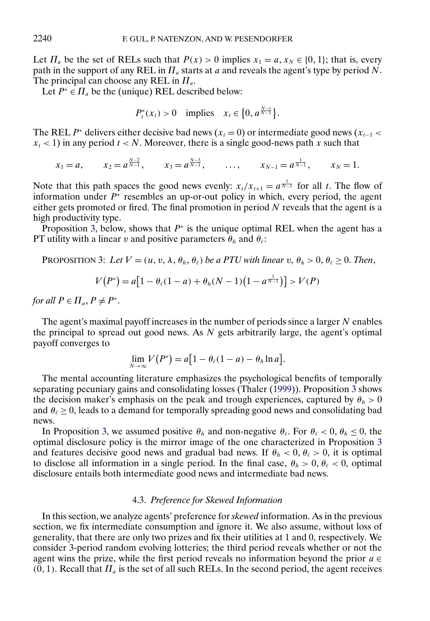<span id="page-15-0"></span>Let  $\Pi_a$  be the set of RELs such that  $P(x) > 0$  implies  $x_1 = a, x_N \in \{0, 1\}$ ; that is, every path in the support of any REL in  $\Pi_a$  starts at a and reveals the agent's type by period N. The principal can choose any REL in  $\Pi_a$ .

Let  $P^* \in \Pi_a$  be the (unique) REL described below:

$$
P_t^*(x_t) > 0
$$
 implies  $x_t \in \{0, a^{\frac{N-t}{N-1}}\}.$ 

The REL P<sup>∗</sup> delivers either decisive bad news ( $x_t = 0$ ) or intermediate good news ( $x_{t-1}$  <  $x_t$  < 1) in any period  $t < N$ . Moreover, there is a single good-news path x such that

$$
x_1 = a
$$
,  $x_2 = a^{\frac{N-2}{N-1}}$ ,  $x_3 = a^{\frac{N-3}{N-1}}$ , ...,  $x_{N-1} = a^{\frac{1}{N-1}}$ ,  $x_N = 1$ .

Note that this path spaces the good news evenly:  $x_t/x_{t+1} = a^{\frac{1}{N-1}}$  for all t. The flow of information under  $P^*$  resembles an up-or-out policy in which, every period, the agent either gets promoted or fired. The final promotion in period  $N$  reveals that the agent is a high productivity type.

Proposition 3, below, shows that  $P^*$  is the unique optimal REL when the agent has a PT utility with a linear v and positive parameters  $\theta_h$  and  $\theta_{\ell}$ :

PROPOSITION 3: Let 
$$
V = (u, v, \lambda, \theta_h, \theta_\ell)
$$
 be a PTU with linear v,  $\theta_h > 0$ ,  $\theta_\ell \ge 0$ . Then,

$$
V(P^*) = a[1 - \theta_\ell(1 - a) + \theta_h(N - 1)(1 - a^{\frac{1}{N-1}})] > V(P)
$$

*for all*  $P \in \Pi_a$ ,  $P \neq P^*$ .

The agent's maximal payoff increases in the number of periods since a larger  $N$  enables the principal to spread out good news. As  $N$  gets arbitrarily large, the agent's optimal payoff converges to

$$
\lim_{N\to\infty} V(P^*) = a \big[1 - \theta_\ell(1-a) - \theta_h \ln a \big].
$$

The mental accounting literature emphasizes the psychological benefits of temporally separating pecuniary gains and consolidating losses (Thaler [\(1999\)](#page-34-0)). Proposition 3 shows the decision maker's emphasis on the peak and trough experiences, captured by  $\theta_h > 0$ and  $\theta_{\ell} \geq 0$ , leads to a demand for temporally spreading good news and consolidating bad news.

In Proposition 3, we assumed positive  $\theta_h$  and non-negative  $\theta_\ell$ . For  $\theta_\ell < 0$ ,  $\theta_h \le 0$ , the optimal disclosure policy is the mirror image of the one characterized in Proposition 3 and features decisive good news and gradual bad news. If  $\theta_h < 0$ ,  $\theta_\ell > 0$ , it is optimal to disclose all information in a single period. In the final case,  $\theta_h > 0$ ,  $\theta_{\ell} < 0$ , optimal disclosure entails both intermediate good news and intermediate bad news.

### 4.3. *Preference for Skewed Information*

In this section, we analyze agents' preference for *skewed* information. As in the previous section, we fix intermediate consumption and ignore it. We also assume, without loss of generality, that there are only two prizes and fix their utilities at 1 and 0, respectively. We consider 3-period random evolving lotteries; the third period reveals whether or not the agent wins the prize, while the first period reveals no information beyond the prior  $a \in$  $(0, 1)$ . Recall that  $\Pi_a$  is the set of all such RELs. In the second period, the agent receives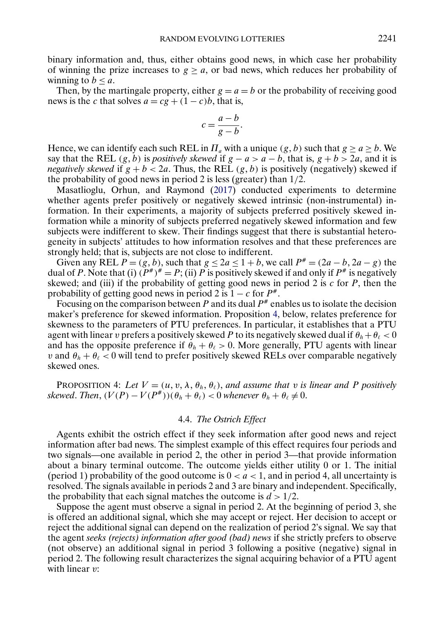<span id="page-16-0"></span>binary information and, thus, either obtains good news, in which case her probability of winning the prize increases to  $g \ge a$ , or bad news, which reduces her probability of winning to  $b \le a$ .

Then, by the martingale property, either  $g = a = b$  or the probability of receiving good news is the c that solves  $a = cg + (1 - c)b$ , that is,

$$
c = \frac{a-b}{g-b}.
$$

Hence, we can identify each such REL in  $\Pi_a$  with a unique  $(g, b)$  such that  $g \ge a \ge b$ . We say that the REL  $(g, b)$  is *positively skewed* if  $g - a > a - b$ , that is,  $g + b > 2a$ , and it is *negatively skewed* if  $g + b < 2a$ . Thus, the REL  $(g, b)$  is positively (negatively) skewed if the probability of good news in period 2 is less (greater) than 1/2.

Masatlioglu, Orhun, and Raymond [\(2017\)](#page-34-0) conducted experiments to determine whether agents prefer positively or negatively skewed intrinsic (non-instrumental) information. In their experiments, a majority of subjects preferred positively skewed information while a minority of subjects preferred negatively skewed information and few subjects were indifferent to skew. Their findings suggest that there is substantial heterogeneity in subjects' attitudes to how information resolves and that these preferences are strongly held; that is, subjects are not close to indifferent.

Given any REL  $P = (g, b)$ , such that  $g \le 2a \le 1 + b$ , we call  $P^* = (2a - b, 2a - g)$  the dual of P. Note that (i)  $(P^*)^* = P$ ; (ii) P is positively skewed if and only if  $P^*$  is negatively skewed; and (iii) if the probability of getting good news in period 2 is  $c$  for  $P$ , then the probability of getting good news in period 2 is  $1 - c$  for  $P^*$ .

Focusing on the comparison between P and its dual  $P^*$  enables us to isolate the decision maker's preference for skewed information. Proposition 4, below, relates preference for skewness to the parameters of PTU preferences. In particular, it establishes that a PTU agent with linear v prefers a positively skewed P to its negatively skewed dual if  $\theta_h + \theta_\ell < 0$ and has the opposite preference if  $\theta_h + \theta_\ell > 0$ . More generally, PTU agents with linear v and  $\theta_h + \theta_\ell < 0$  will tend to prefer positively skewed RELs over comparable negatively skewed ones.

PROPOSITION 4: Let  $V = (u, v, \lambda, \theta_h, \theta_\ell)$ , and assume that v is linear and P positively *skewed. Then,*  $(V(P) - V(P^*))(\theta_h + \theta_\ell) < 0$  *whenever*  $\theta_h + \theta_\ell \neq 0$ .

## 4.4. *The Ostrich Effect*

Agents exhibit the ostrich effect if they seek information after good news and reject information after bad news. The simplest example of this effect requires four periods and two signals—one available in period 2, the other in period 3—that provide information about a binary terminal outcome. The outcome yields either utility 0 or 1. The initial (period 1) probability of the good outcome is  $0 < a < 1$ , and in period 4, all uncertainty is resolved. The signals available in periods 2 and 3 are binary and independent. Specifically, the probability that each signal matches the outcome is  $d > 1/2$ .

Suppose the agent must observe a signal in period 2. At the beginning of period 3, she is offered an additional signal, which she may accept or reject. Her decision to accept or reject the additional signal can depend on the realization of period 2's signal. We say that the agent *seeks (rejects) information after good (bad) news* if she strictly prefers to observe (not observe) an additional signal in period 3 following a positive (negative) signal in period 2. The following result characterizes the signal acquiring behavior of a PTU agent with linear *v*: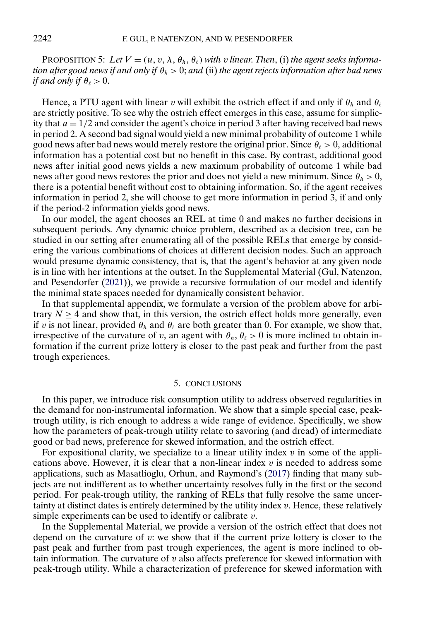<span id="page-17-0"></span>PROPOSITION 5: Let  $V = (u, v, \lambda, \theta_h, \theta_\ell)$  with v linear. Then, (i) the agent seeks informa*tion after good news if and only if*  $\theta_h > 0$ ; *and* (ii) *the agent rejects information after bad news if and only if*  $\theta_\ell > 0$ .

Hence, a PTU agent with linear v will exhibit the ostrich effect if and only if  $\theta_h$  and  $\theta_\ell$ are strictly positive. To see why the ostrich effect emerges in this case, assume for simplicity that  $a = 1/2$  and consider the agent's choice in period 3 after having received bad news in period 2. A second bad signal would yield a new minimal probability of outcome 1 while good news after bad news would merely restore the original prior. Since  $\theta_{\ell} > 0$ , additional information has a potential cost but no benefit in this case. By contrast, additional good news after initial good news yields a new maximum probability of outcome 1 while bad news after good news restores the prior and does not yield a new minimum. Since  $\theta_h > 0$ , there is a potential benefit without cost to obtaining information. So, if the agent receives information in period 2, she will choose to get more information in period 3, if and only if the period-2 information yields good news.

In our model, the agent chooses an REL at time 0 and makes no further decisions in subsequent periods. Any dynamic choice problem, described as a decision tree, can be studied in our setting after enumerating all of the possible RELs that emerge by considering the various combinations of choices at different decision nodes. Such an approach would presume dynamic consistency, that is, that the agent's behavior at any given node is in line with her intentions at the outset. In the Supplemental Material (Gul, Natenzon, and Pesendorfer [\(2021\)](#page-33-0)), we provide a recursive formulation of our model and identify the minimal state spaces needed for dynamically consistent behavior.

In that supplemental appendix, we formulate a version of the problem above for arbitrary  $N \geq 4$  and show that, in this version, the ostrich effect holds more generally, even if v is not linear, provided  $\theta_h$  and  $\theta_\ell$  are both greater than 0. For example, we show that, irrespective of the curvature of v, an agent with  $\theta_h$ ,  $\theta_\ell > 0$  is more inclined to obtain information if the current prize lottery is closer to the past peak and further from the past trough experiences.

## 5. CONCLUSIONS

In this paper, we introduce risk consumption utility to address observed regularities in the demand for non-instrumental information. We show that a simple special case, peaktrough utility, is rich enough to address a wide range of evidence. Specifically, we show how the parameters of peak-trough utility relate to savoring (and dread) of intermediate good or bad news, preference for skewed information, and the ostrich effect.

For expositional clarity, we specialize to a linear utility index  $v$  in some of the applications above. However, it is clear that a non-linear index  $v$  is needed to address some applications, such as Masatlioglu, Orhun, and Raymond's [\(2017\)](#page-34-0) finding that many subjects are not indifferent as to whether uncertainty resolves fully in the first or the second period. For peak-trough utility, the ranking of RELs that fully resolve the same uncertainty at distinct dates is entirely determined by the utility index  $v$ . Hence, these relatively simple experiments can be used to identify or calibrate  $v$ .

In the Supplemental Material, we provide a version of the ostrich effect that does not depend on the curvature of v: we show that if the current prize lottery is closer to the past peak and further from past trough experiences, the agent is more inclined to obtain information. The curvature of  $v$  also affects preference for skewed information with peak-trough utility. While a characterization of preference for skewed information with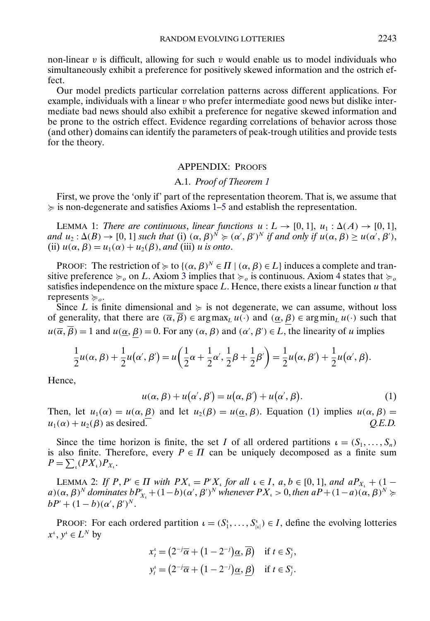<span id="page-18-0"></span>non-linear  $v$  is difficult, allowing for such  $v$  would enable us to model individuals who simultaneously exhibit a preference for positively skewed information and the ostrich effect.

Our model predicts particular correlation patterns across different applications. For example, individuals with a linear  $v$  who prefer intermediate good news but dislike intermediate bad news should also exhibit a preference for negative skewed information and be prone to the ostrich effect. Evidence regarding correlations of behavior across those (and other) domains can identify the parameters of peak-trough utilities and provide tests for the theory.

### APPENDIX: PROOFS

#### A.1. *Proof of Theorem [1](#page-8-0)*

First, we prove the 'only if' part of the representation theorem. That is, we assume that  $\succcurlyeq$  is non-degenerate and satisfies Axioms [1–](#page-6-0)[5](#page-7-0) and establish the representation.

LEMMA 1: *There are continuous, linear functions*  $u : L \to [0,1], u_1 : \Delta(A) \to [0,1],$ *and*  $u_2: \Delta(B) \to [0, 1]$  *such that* (i)  $(\alpha, \beta)^N \succcurlyeq (\alpha', \beta')^N$  *if and only if*  $u(\alpha, \beta) \geq u(\alpha', \beta')$ , (ii)  $u(\alpha, \beta) = u_1(\alpha) + u_2(\beta)$ , and (iii) u is onto.

PROOF: The restriction of  $\succcurlyeq$  to  $\{(\alpha, \beta)^N \in \Pi \mid (\alpha, \beta) \in L\}$  induces a complete and transitive preference  $\succcurlyeq_o$  on L. Axiom [3](#page-6-0) implies that  $\succcurlyeq_o$  is continuous. Axiom [4](#page-6-0) states that  $\succcurlyeq_o$ satisfies independence on the mixture space  $L$ . Hence, there exists a linear function  $u$  that represents  $\succcurlyeq_o$ .

Since L is finite dimensional and  $\succeq$  is not degenerate, we can assume, without loss of generality, that there are  $(\overline{\alpha}, \overline{\beta}) \in \arg \max_L u(\cdot)$  and  $(\alpha, \beta) \in \arg \min_L u(\cdot)$  such that  $u(\overline{\alpha}, \overline{\beta}) = 1$  and  $u(\underline{\alpha}, \beta) = 0$ . For any  $(\alpha, \beta)$  and  $(\alpha', \beta') \in L$ , the linearity of u implies

$$
\frac{1}{2}u(\alpha,\beta) + \frac{1}{2}u(\alpha',\beta') = u\left(\frac{1}{2}\alpha + \frac{1}{2}\alpha', \frac{1}{2}\beta + \frac{1}{2}\beta'\right) = \frac{1}{2}u(\alpha,\beta') + \frac{1}{2}u(\alpha',\beta).
$$

Hence,

$$
u(\alpha, \beta) + u(\alpha', \beta') = u(\alpha, \beta') + u(\alpha', \beta). \tag{1}
$$

Then, let  $u_1(\alpha) = u(\alpha, \beta)$  and let  $u_2(\beta) = u(\alpha, \beta)$ . Equation (1) implies  $u(\alpha, \beta) =$  $u_1(\alpha) + u_2(\beta)$  as desired.  $Q.E.D.$ 

Since the time horizon is finite, the set I of all ordered partitions  $\iota = (S_1, \ldots, S_n)$ is also finite. Therefore, every  $P \in \Pi$  can be uniquely decomposed as a finite sum  $P = \sum_{\iota} (PX_{\iota}) P_{X_{\iota}}.$ 

LEMMA 2: If  $P, P' \in \Pi$  with  $PX_{\iota} = P'X_{\iota}$  for all  $\iota \in I$ ,  $a, b \in [0, 1]$ , and  $aP_{X_{\iota}} + (1$  $a)(\alpha, \beta)^N$  *dominates*  $bP'_{X_i}$  +  $(1-b)(\alpha', \beta')^N$  *whenever*  $PX_{\iota}$  > 0, *then*  $aP$  +  $(1-a)(\alpha, \beta)^N$   $\succeq$  $bP' + (1-b)(\alpha', \beta')^N$ .

PROOF: For each ordered partition  $\iota = (S_1^{\iota}, \dots, S_{|\iota|}^{\iota}) \in I$ , define the evolving lotteries  $x^{\iota}, y^{\iota} \in L^N$  by

$$
x_t^* = (2^{-j}\overline{\alpha} + (1 - 2^{-j})\underline{\alpha}, \overline{\beta}) \quad \text{if } t \in S_j^*,
$$
  

$$
y_t^* = (2^{-j}\overline{\alpha} + (1 - 2^{-j})\underline{\alpha}, \underline{\beta}) \quad \text{if } t \in S_j^*.
$$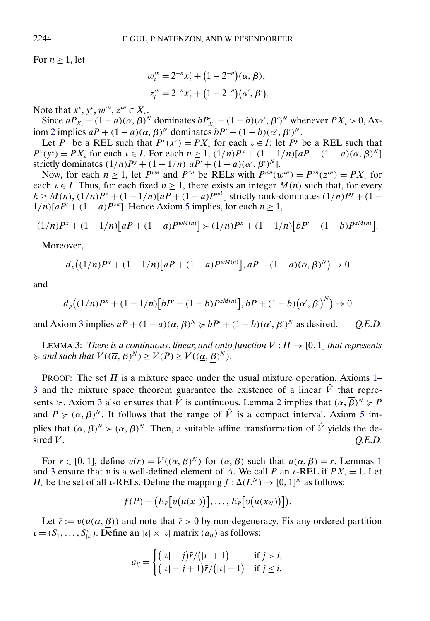<span id="page-19-0"></span>For  $n \geq 1$ , let

$$
w_t^{in} = 2^{-n} x_t^i + (1 - 2^{-n}) (\alpha, \beta),
$$
  
\n
$$
z_t^{in} = 2^{-n} x_t^i + (1 - 2^{-n}) (\alpha', \beta').
$$

Note that  $x^i, y^i, w^{in}, z^{in} \in X_i$ .

Since  $aP_{X_i} + (1 - a)(\alpha, \beta)^N$  dominates  $bP'_{X_i} + (1 - b)(\alpha', \beta')^N$  whenever  $PX_i > 0$ , Ax-iom [2](#page-6-0) implies  $aP + (1 - a)(\alpha, \beta)^N$  dominates  $bP' + (1 - b)(\alpha', \beta')^N$ .

Let  $P^x$  be a REL such that  $P^x(x^i) = PX_i$  for each  $i \in I$ ; let  $P^y$  be a REL such that  $P^{y}(y^{i}) = PX_{i}$  for each  $i \in I$ . For each  $n \geq 1$ ,  $(1/n)P^{x} + (1 - 1/n)[aP + (1 - a)(\alpha, \beta)^{N}]$ strictly dominates  $(1/n)P^y + (1 - 1/n)[aP' + (1 - a)(\alpha', \beta')^N]$ .

Now, for each  $n > 1$ , let  $P^{wn}$  and  $P^{zn}$  be RELs with  $P^{wn}(w^{in}) = P^{zn}(z^{in}) = PX$  for each  $\iota \in I$ . Thus, for each fixed  $n \geq 1$ , there exists an integer  $M(n)$  such that, for every  $k \ge M(n)$ ,  $(1/n)P^{x} + (1 - 1/n)[aP + (1 - a)P^{wk}]$  strictly rank-dominates  $(1/n)P^{y} + (1 - a)P^{wk}$  $1/n$ [ $aP' + (1 - a)P^{zk}$ ]. Hence Axiom [5](#page-7-0) implies, for each  $n \ge 1$ ,

$$
(1/n)Px + (1 - 1/n)[aP + (1 - a)PwM(n)] > (1/n)Px + (1 - 1/n)[bP' + (1 - b)PzM(n)].
$$

Moreover,

$$
d_p((1/n)P^x + (1 - 1/n)[aP + (1 - a)P^{wM(n)}], aP + (1 - a)(\alpha, \beta)^N) \to 0
$$

and

$$
d_p((1/n)P^x + (1 - 1/n)[bP' + (1 - b)P^{zM(n)}], bP + (1 - b)(\alpha', \beta')^N) \to 0
$$

and Axiom [3](#page-6-0) implies  $aP + (1 - a)(\alpha, \beta)^N \succcurlyeq bP' + (1 - b)(\alpha', \beta')^N$  as desired. *Q.E.D.* 

LEMMA 3: *There is a continuous, linear, and onto function*  $V : \Pi \rightarrow [0, 1]$  *that represents*  $\succcurlyeq$  and such that  $V((\overline{\alpha}, \overline{\beta})^N) \geq V(P) \geq V((\underline{\alpha}, \beta)^N)$ .

PROOF: The set  $\Pi$  is a mixture space under the usual mixture operation. Axioms [1–](#page-6-0) [3](#page-6-0) and the mixture space theorem guarantee the existence of a linear  $\hat{V}$  that represents  $\succcurlyeq$ . Axiom [3](#page-6-0) also ensures that  $\hat{V}$  is continuous. Lemma [2](#page-18-0) implies that  $(\overline{\alpha}, \overline{\beta})^N \succcurlyeq P$ and  $P \geq (\underline{\alpha}, \beta)^N$ . It follows that the range of  $\hat{V}$  is a compact interval. Axiom [5](#page-7-0) implies that  $(\overline{\alpha}, \overline{\beta})^N > (\underline{\alpha}, \beta)^N$ . Then, a suitable affine transformation of  $\hat{V}$  yields the de- $\angle Q.E.D.$   $Q.E.D.$ 

For  $r \in [0, 1]$  $r \in [0, 1]$  $r \in [0, 1]$ , define  $v(r) = V((\alpha, \beta)^N)$  for  $(\alpha, \beta)$  such that  $u(\alpha, \beta) = r$ . Lemmas 1 and 3 ensure that v is a well-defined element of  $\Lambda$ . We call P an  $\iota$ -REL if  $PX_{\iota} = 1$ . Let  $\Pi_{\iota}$  be the set of all  $\iota$ -RELs. Define the mapping  $f : \Delta(L^N) \to [0, 1]^N$  as follows:

$$
f(P) = (E_P[v(u(x_1))], \ldots, E_P[v(u(x_N))]).
$$

Let  $\bar{r} := v(u(\bar{\alpha}, \beta))$  and note that  $\bar{r} > 0$  by non-degeneracy. Fix any ordered partition  $\iota = (S_1^{\iota}, \dots, S_{|\iota|}^{\iota}).$  Define an  $|\iota| \times |\iota|$  matrix  $(a_{ij})$  as follows:

$$
a_{ij} = \begin{cases} (|\iota| - j)\bar{r}/(|\iota| + 1) & \text{if } j > i, \\ (|\iota| - j + 1)\bar{r}/(|\iota| + 1) & \text{if } j \leq i. \end{cases}
$$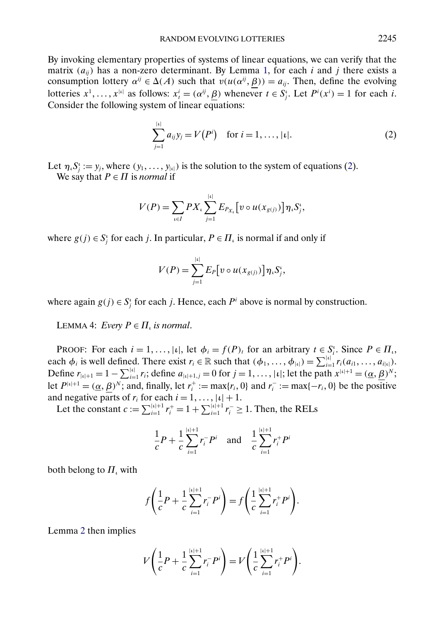<span id="page-20-0"></span>By invoking elementary properties of systems of linear equations, we can verify that the matrix  $(a_{ij})$  has a non-zero determinant. By Lemma [1,](#page-18-0) for each i and j there exists a consumption lottery  $\alpha^{ij} \in \Delta(A)$  such that  $v(u(\alpha^{ij}, \beta)) = a_{ij}$ . Then, define the evolving lotteries  $x^1, \ldots, x^{|t|}$  as follows:  $x^i_t = (\alpha^{ij}, \underline{\beta})$  whenever  $t \in S^i_j$ . Let  $P^i(x^i) = 1$  for each *i*. Consider the following system of linear equations:

$$
\sum_{j=1}^{|i|} a_{ij} y_j = V(P^i) \text{ for } i = 1, ..., |i|.
$$
 (2)

Let  $\eta_i S_j^i := y_j$ , where  $(y_1, \ldots, y_{|\iota|})$  is the solution to the system of equations (2). We say that  $P \in \Pi$  is *normal* if

$$
V(P) = \sum_{i \in I} PX_i \sum_{j=1}^{|t|} E_{P_{X_i}}[v \circ u(x_{g(j)})] \eta_i S_j^t,
$$

where  $g(j) \in S_j^i$  for each j. In particular,  $P \in \Pi_i$  is normal if and only if

$$
V(P) = \sum_{j=1}^{|t|} E_P[v \circ u(x_{g(j)})] \eta_v S_j^t,
$$

where again  $g(j) \in S_j^i$  for each j. Hence, each  $P^i$  above is normal by construction.

LEMMA 4: *Every*  $P \in \Pi$ , *is normal*.

PROOF: For each  $i = 1, ..., |\iota|$ , let  $\phi_i = f(P)_t$  for an arbitrary  $t \in S_i^{\iota}$ . Since  $P \in \Pi_i$ , each  $\phi_i$  is well defined. There exist  $r_i \in \mathbb{R}$  such that  $(\phi_1, \ldots, \phi_{|\iota|}) = \sum_{i=1}^{|\iota|} r_i(a_{i1}, \ldots, a_{i|\iota|}).$ Define  $r_{|\iota|+1} = 1 - \sum_{i=1}^{|\iota|} r_i$ ; define  $a_{|\iota|+1,j} = 0$  for  $j = 1, ..., |\iota|$ ; let the path  $x^{|\iota|+1} = (\underline{\alpha}, \underline{\beta})^N$ ; let  $P^{|i|+1} = (\underline{\alpha}, \underline{\beta})^N$ ; and, finally, let  $r_i^+ := \max\{r_i, 0\}$  and  $r_i^- := \max\{-r_i, 0\}$  be the positive and negative parts of  $r_i$  for each  $i = 1, \ldots, |\iota| + 1$ .

Let the constant  $c := \sum_{i=1}^{|i|+1} r_i^+ = 1 + \sum_{i=1}^{|i|+1} r_i^- \ge 1$ . Then, the RELs

$$
\frac{1}{c}P + \frac{1}{c}\sum_{i=1}^{|i|+1} r_i^- P^i \quad \text{and} \quad \frac{1}{c}\sum_{i=1}^{|i|+1} r_i^+ P^i
$$

both belong to  $\Pi_{\iota}$  with

$$
f\left(\frac{1}{c}P + \frac{1}{c}\sum_{i=1}^{|t|+1}r_i^{-}P^i\right) = f\left(\frac{1}{c}\sum_{i=1}^{|t|+1}r_i^{+}P^i\right).
$$

Lemma [2](#page-18-0) then implies

$$
V\left(\frac{1}{c}P + \frac{1}{c}\sum_{i=1}^{|i|+1}r_i^{-}P^i\right) = V\left(\frac{1}{c}\sum_{i=1}^{|i|+1}r_i^{+}P^i\right).
$$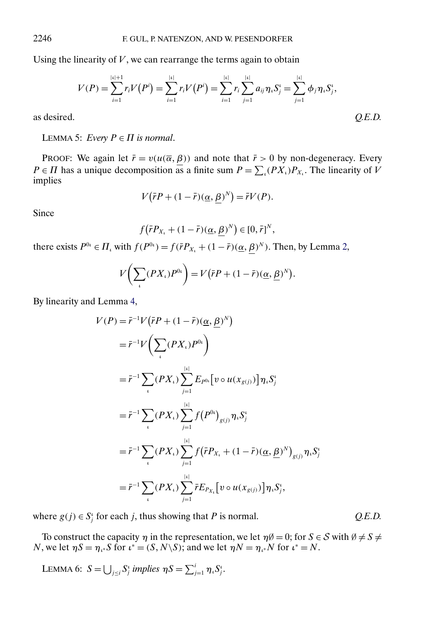<span id="page-21-0"></span>Using the linearity of  $V$ , we can rearrange the terms again to obtain

$$
V(P) = \sum_{i=1}^{|i|+1} r_i V(P^i) = \sum_{i=1}^{|i|} r_i V(P^i) = \sum_{i=1}^{|i|} r_i \sum_{j=1}^{|i|} a_{ij} \eta_i S^i_j = \sum_{j=1}^{|i|} \phi_j \eta_i S^i_j,
$$
  
as desired. Q.E.D.

LEMMA 5: *Every*  $P \in \Pi$  *is normal*.

PROOF: We again let  $\bar{r} = v(u(\bar{\alpha}, \beta))$  and note that  $\bar{r} > 0$  by non-degeneracy. Every  $P \in \Pi$  has a unique decomposition as a finite sum  $P = \sum_{i} (PX_{i})P_{X_{i}}$ . The linearity of V implies

$$
V(\bar{r}P + (1 - \bar{r})(\underline{\alpha}, \underline{\beta})^N) = \bar{r}V(P).
$$

Since

$$
f(\bar{r}P_{X_t}+(1-\bar{r})(\underline{\alpha},\underline{\beta})^N)\in[0,\bar{r}]^N,
$$

there exists  $P^{0i} \in \Pi_i$  with  $f(P^{0i}) = f(\bar{r}P_{X_i} + (1 - \bar{r})(\underline{\alpha}, \beta)^N)$ . Then, by Lemma [2,](#page-18-0)

$$
V\bigg(\sum_{i} (PX_{i})P^{0i}\bigg) = V\big(\bar{r}P + (1-\bar{r})(\underline{\alpha}, \underline{\beta})^{N}\big).
$$

By linearity and Lemma [4,](#page-20-0)

$$
V(P) = \bar{r}^{-1} V (\bar{r} P + (1 - \bar{r}) (\underline{\alpha}, \underline{\beta})^{N})
$$
  
\n
$$
= \bar{r}^{-1} V \Biggl( \sum_{i} (PX_{i}) P^{0i} \Biggr)
$$
  
\n
$$
= \bar{r}^{-1} \sum_{i} (PX_{i}) \sum_{j=1}^{|i|} E_{P^{0i}} [v \circ u(x_{g(j)})] \eta_{i} S_{j}^{i}
$$
  
\n
$$
= \bar{r}^{-1} \sum_{i} (PX_{i}) \sum_{j=1}^{|i|} f(P^{0i})_{g(j)} \eta_{i} S_{j}^{i}
$$
  
\n
$$
= \bar{r}^{-1} \sum_{i} (PX_{i}) \sum_{j=1}^{|i|} f(\bar{r} P_{X_{i}} + (1 - \bar{r}) (\underline{\alpha}, \underline{\beta})^{N})_{g(j)} \eta_{i} S_{j}^{i}
$$
  
\n
$$
= \bar{r}^{-1} \sum_{i} (PX_{i}) \sum_{j=1}^{|i|} \bar{r} E_{P_{X_{i}}} [v \circ u(x_{g(j)})] \eta_{i} S_{j}^{i},
$$

where  $g(j) \in S_j^i$  for each j, thus showing that P is normal.  $Q.E.D.$ 

To construct the capacity  $\eta$  in the representation, we let  $\eta\emptyset = 0$ ; for  $S \in \mathcal{S}$  with  $\emptyset \neq S \neq \emptyset$ N, we let  $\eta S = \eta_{\iota^*} S$  for  $\iota^* = (S, N \setminus S)$ ; and we let  $\eta N = \eta_{\iota^*} N$  for  $\iota^* = N$ .

LEMMA 6:  $S = \bigcup_{j \leq i} S_j^i$  implies  $\eta S = \sum_{j=1}^i \eta_i S_j^i$ .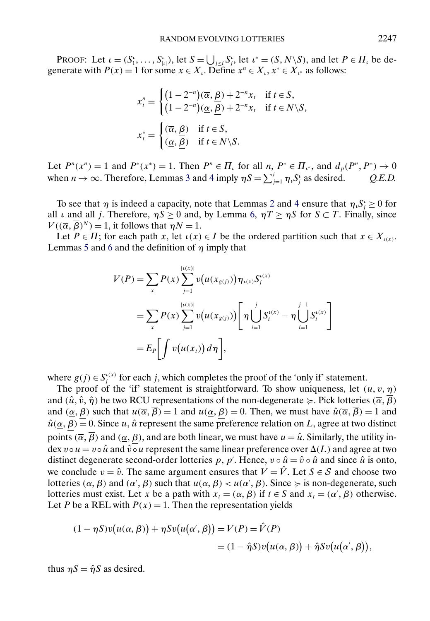PROOF: Let  $\iota = (S_1^{\iota}, \dots, S_{|\iota|}^{\iota}),$  let  $S = \bigcup_{j \leq i} S_j^{\iota}$ , let  $\iota^* = (S, N \setminus S)$ , and let  $P \in \Pi_{\iota}$  be degenerate with  $P(x) = 1$  for some  $x \in X_i$ . Define  $x^n \in X_i$ ,  $x^* \in X_i$  as follows:

$$
x_t^n = \begin{cases} (1 - 2^{-n})(\overline{\alpha}, \underline{\beta}) + 2^{-n}x_t & \text{if } t \in S, \\ (1 - 2^{-n})(\underline{\alpha}, \underline{\beta}) + 2^{-n}x_t & \text{if } t \in N \setminus S, \end{cases}
$$

$$
x_t^* = \begin{cases} (\overline{\alpha}, \underline{\beta}) & \text{if } t \in S, \\ (\underline{\alpha}, \underline{\beta}) & \text{if } t \in N \setminus S. \end{cases}
$$

Let  $P^{n}(x^{n}) = 1$  and  $P^{*}(x^{*}) = 1$ . Then  $P^{n} \in \Pi_{i}$  for all  $n, P^{*} \in \Pi_{i^{*}}$ , and  $d_{p}(P^{n}, P^{*}) \to 0$ when  $n \to \infty$ . Therefore, Lemmas [3](#page-19-0) and [4](#page-20-0) imply  $\eta S = \sum_{j=1}^{i} \eta_i S_j^i$  as desired. *Q.E.D.* 

To see that  $\eta$  is indeed a capacity, note that Lemmas [2](#page-18-0) and [4](#page-20-0) ensure that  $\eta_i S_j^i \geq 0$  for all  $\iota$  and all *j*. Therefore,  $\eta S \ge 0$  and, by Lemma [6,](#page-21-0)  $\eta T \ge \eta S$  for  $S \subset T$ . Finally, since  $V((\overline{\alpha}, \overline{\beta})^N) = 1$ , it follows that  $\eta N = 1$ .

Let  $P \in \Pi$ ; for each path x, let  $\iota(x) \in I$  be the ordered partition such that  $x \in X_{\iota(x)}$ . Lemmas [5](#page-21-0) and [6](#page-21-0) and the definition of  $\eta$  imply that

$$
V(P) = \sum_{x} P(x) \sum_{j=1}^{|i(x)|} v(u(x_{g(j)})) \eta_{i(x)} S_j^{i(x)}
$$
  
= 
$$
\sum_{x} P(x) \sum_{j=1}^{|i(x)|} v(u(x_{g(j)})) \left[ \eta \bigcup_{i=1}^{j} S_i^{i(x)} - \eta \bigcup_{i=1}^{j-1} S_i^{i(x)} \right]
$$
  
= 
$$
E_P \left[ \int v(u(x_t)) d\eta \right],
$$

where  $g(j) \in S_j^{(x)}$  for each j, which completes the proof of the 'only if' statement.

The proof of the 'if' statement is straightforward. To show uniqueness, let  $(u, v, \eta)$ and  $(\hat{u}, \hat{v}, \hat{\eta})$  be two RCU representations of the non-degenerate  $\succcurlyeq$ . Pick lotteries  $(\overline{\alpha}, \overline{\beta})$ and  $(\alpha, \beta)$  such that  $u(\overline{\alpha}, \overline{\beta}) = 1$  and  $u(\alpha, \beta) = 0$ . Then, we must have  $\hat{u}(\overline{\alpha}, \overline{\beta}) = 1$  and  $\hat{u}(\alpha, \beta) = 0$ . Since u,  $\hat{u}$  represent the same preference relation on L, agree at two distinct points  $(\overline{\alpha}, \overline{\beta})$  and  $(\underline{\alpha}, \beta)$ , and are both linear, we must have  $u = \hat{u}$ . Similarly, the utility index  $v \circ u = v \circ \hat{u}$  and  $\hat{v} \circ u$  represent the same linear preference over  $\Delta(L)$  and agree at two distinct degenerate second-order lotteries p, p'. Hence,  $v \circ \hat{u} = \hat{v} \circ \hat{u}$  and since  $\hat{u}$  is onto, we conclude  $v = \hat{v}$ . The same argument ensures that  $V = \hat{V}$ . Let  $S \in \mathcal{S}$  and choose two lotteries  $(\alpha, \beta)$  and  $(\alpha', \beta)$  such that  $u(\alpha, \beta) < u(\alpha', \beta)$ . Since  $\succeq$  is non-degenerate, such lotteries must exist. Let x be a path with  $x_t = (\alpha, \beta)$  if  $t \in S$  and  $x_t = (\alpha, \beta)$  otherwise. Let P be a REL with  $P(x) = 1$ . Then the representation yields

$$
(1 - \eta S)v(u(\alpha, \beta)) + \eta Sv(u(\alpha', \beta)) = V(P) = \hat{V}(P)
$$
  
= 
$$
(1 - \hat{\eta}S)v(u(\alpha, \beta)) + \hat{\eta}Sv(u(\alpha', \beta)),
$$

thus  $\eta S = \hat{\eta} S$  as desired.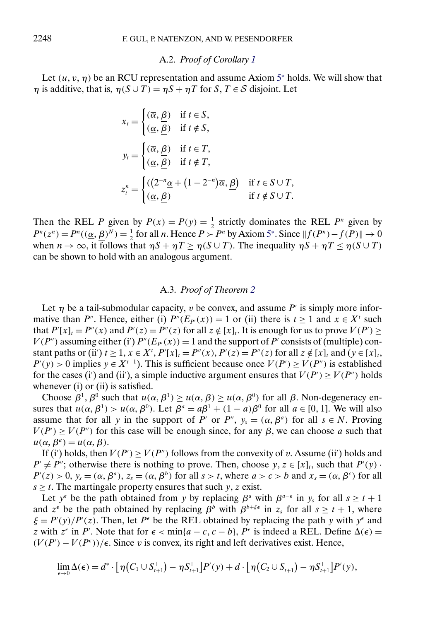#### A.2. *Proof of Corollary [1](#page-8-0)*

Let  $(u, v, \eta)$  be an RCU representation and assume Axiom [5](#page-6-0)<sup>∗</sup> holds. We will show that  $\eta$  is additive, that is,  $\eta(S \cup T) = \eta S + \eta T$  for  $S, T \in S$  disjoint. Let

$$
x_{t} = \begin{cases} (\overline{\alpha}, \underline{\beta}) & \text{if } t \in S, \\ (\underline{\alpha}, \overline{\underline{\beta}}) & \text{if } t \notin S, \end{cases}
$$
  

$$
y_{t} = \begin{cases} (\overline{\alpha}, \underline{\beta}) & \text{if } t \in T, \\ (\underline{\alpha}, \underline{\beta}) & \text{if } t \notin T, \end{cases}
$$
  

$$
z_{t}^{n} = \begin{cases} ((2^{-n}\underline{\alpha} + (1 - 2^{-n})\overline{\alpha}, \underline{\beta}) & \text{if } t \in S \cup T, \\ (\underline{\alpha}, \underline{\beta}) & \text{if } t \notin S \cup T. \end{cases}
$$

Then the REL P given by  $P(x) = P(y) = \frac{1}{2}$  strictly dominates the REL P<sup>n</sup> given by  $P^{n}(z^{n}) = P^{n}((\underline{\alpha}, \underline{\beta})^{N}) = \frac{1}{2}$  for all *n*. Hence  $P > P^{n}$  by Axiom [5](#page-6-0)<sup>\*</sup>. Since  $||f(P^{n}) - f(P)|| \rightarrow 0$ when  $n \to \infty$ , it follows that  $\eta S + \eta T \geq \eta (S \cup T)$ . The inequality  $\eta S + \eta T \leq \eta (S \cup T)$ can be shown to hold with an analogous argument.

## A.3. *Proof of Theorem [2](#page-9-0)*

Let  $\eta$  be a tail-submodular capacity, v be convex, and assume P' is simply more informative than P''. Hence, either (i)  $P''(E_P(x)) = 1$  or (ii) there is  $t \ge 1$  and  $x \in X'$  such that  $P'[x]_t = P''(x)$  and  $P'(z) = P''(z)$  for all  $z \notin [x]_t$ . It is enough for us to prove  $V(P') \ge$  $V(P'')$  assuming either (i')  $P''(E_{P}(x)) = 1$  and the support of P' consists of (multiple) constant paths or (ii')  $t \ge 1$ ,  $x \in X^t$ ,  $P'[x]_t = P''(x)$ ,  $P'(z) = P''(z)$  for all  $z \notin [x]_t$  and  $(y \in [x]_t$ ,  $P'(y) > 0$  implies  $y \in X^{t+1}$ ). This is sufficient because once  $V(P') \ge V(P'')$  is established for the cases (i') and (ii'), a simple inductive argument ensures that  $V(P') \ge V(P'')$  holds whenever (i) or (ii) is satisfied.

Choose  $\beta^1$ ,  $\beta^0$  such that  $u(\alpha, \beta^1) \geq u(\alpha, \beta) \geq u(\alpha, \beta^0)$  for all  $\beta$ . Non-degeneracy ensures that  $u(\alpha, \beta^1) > u(\alpha, \beta^0)$ . Let  $\beta^a = a\beta^1 + (1 - a)\beta^0$  for all  $a \in [0, 1]$ . We will also assume that for all y in the support of P' or P",  $y_s = (\alpha, \beta^a)$  for all  $s \in N$ . Proving  $V(P') \ge V(P'')$  for this case will be enough since, for any  $\beta$ , we can choose a such that  $u(\alpha, \beta^a) = u(\alpha, \beta).$ 

If (i') holds, then  $V(P') \ge V(P'')$  follows from the convexity of v. Assume (ii') holds and  $P' \neq P''$ ; otherwise there is nothing to prove. Then, choose  $y, z \in [x]_t$ , such that  $P'(y)$ .  $P'(z) > 0$ ,  $y_s = (\alpha, \beta^a)$ ,  $z_s = (\alpha, \beta^b)$  for all  $s > t$ , where  $a > c > b$  and  $x_s = (\alpha, \beta^c)$  for all  $s \geq t$ . The martingale property ensures that such y, z exist.

Let  $y^{\epsilon}$  be the path obtained from y by replacing  $\beta^{\alpha}$  with  $\beta^{\alpha-\epsilon}$  in  $y_s$  for all  $s \ge t+1$ and  $z^{\epsilon}$  be the path obtained by replacing  $\beta^{b}$  with  $\beta^{b+\xi\epsilon}$  in  $z_{s}$  for all  $s \geq t+1$ , where  $\xi = P'(y)/P'(z)$ . Then, let  $P^{\epsilon}$  be the REL obtained by replacing the path y with y<sup> $\epsilon$ </sup> and z with  $z^{\epsilon}$  in P'. Note that for  $\epsilon < \min\{a-c, c-b\}$ ,  $P^{\epsilon}$  is indeed a REL. Define  $\Delta(\epsilon)$  =  $(V(P') - V(P^{\epsilon}))$ / $\epsilon$ . Since v is convex, its right and left derivatives exist. Hence,

$$
\lim_{\epsilon \to 0} \Delta(\epsilon) = d^* \cdot \big[ \eta(C_1 \cup S_{t+1}^+) - \eta S_{t+1}^+ \big] P'(y) + d \cdot \big[ \eta(C_2 \cup S_{t+1}^+) - \eta S_{t+1}^+ \big] P'(y),
$$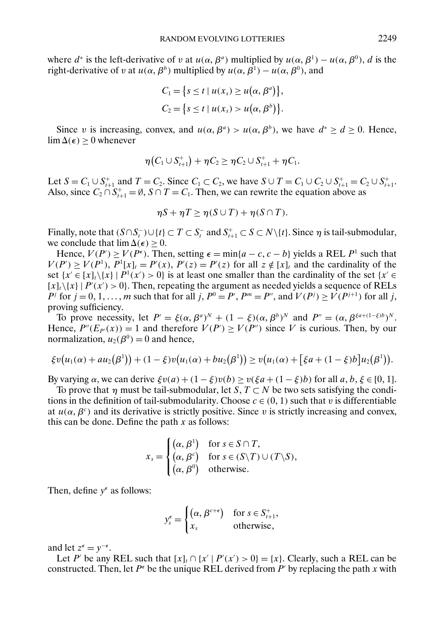where  $d^*$  is the left-derivative of v at  $u(\alpha, \beta^a)$  multiplied by  $u(\alpha, \beta^1) - u(\alpha, \beta^0)$ , d is the right-derivative of v at  $u(\alpha, \beta^b)$  multiplied by  $u(\alpha, \beta^1) - u(\alpha, \beta^0)$ , and

$$
C_1 = \{s \le t \mid u(x_s) \ge u(\alpha, \beta^a)\},
$$
  
\n
$$
C_2 = \{s \le t \mid u(x_s) > u(\alpha, \beta^b)\}.
$$

Since v is increasing, convex, and  $u(\alpha, \beta^a) > u(\alpha, \beta^b)$ , we have  $d^* \ge d \ge 0$ . Hence,  $\lim_{\Delta(\epsilon)}$  > 0 whenever

$$
\eta(C_1 \cup S_{t+1}^+) + \eta C_2 \geq \eta C_2 \cup S_{t+1}^+ + \eta C_1.
$$

Let  $S = C_1 \cup S_{t+1}^+$  and  $T = C_2$ . Since  $C_1 \subset C_2$ , we have  $S \cup T = C_1 \cup C_2 \cup S_{t+1}^+ = C_2 \cup S_{t+1}^+$ . Also, since  $C_2 \cap S_{t+1}^+ = \emptyset$ ,  $S \cap T = C_1$ . Then, we can rewrite the equation above as

$$
\eta S + \eta T \ge \eta (S \cup T) + \eta (S \cap T).
$$

Finally, note that  $(S \cap S_t^-) \cup \{t\} \subset T \subset S_t^-$  and  $S_{t+1}^+ \subset S \subset N \setminus \{t\}$ . Since  $\eta$  is tail-submodular, we conclude that  $\lim_{\Delta(\epsilon)}$  > 0.

Hence,  $V(P') \ge V(P^{\epsilon})$ . Then, setting  $\epsilon = \min\{a - c, c - b\}$  yields a REL  $P^1$  such that  $V(P') \geq V(P^1), P^1[x]_t = P'(x), P'(z) = P'(z)$  for all  $z \notin [x]_t$  and the cardinality of the set  $\{x' \in [x]_t \setminus \{x\} \mid P^1(x') > 0\}$  is at least one smaller than the cardinality of the set  $\{x' \in$  $[x]_t \setminus \{x\}$  |  $P'(x') > 0$ . Then, repeating the argument as needed yields a sequence of RELs  $P^j$  for  $j = 0, 1, \ldots, m$  such that for all  $j, P^0 = P', P^m = P''$ , and  $V(P^j) \ge V(P^{j+1})$  for all  $j,$ proving sufficiency.

To prove necessity, let  $P' = \xi(\alpha, \beta^a)^N + (1 - \xi)(\alpha, \beta^b)^N$  and  $P'' = (\alpha, \beta^{\xi a + (1 - \xi)b})^N$ . Hence,  $P''(E_{P}(x)) = 1$  and therefore  $V(P') \ge V(P'')$  since V is curious. Then, by our normalization,  $u_2(\beta^0) = 0$  and hence,

$$
\xi v(u_1(\alpha)+au_2(\beta^1)) + (1-\xi)v(u_1(\alpha)+bu_2(\beta^1)) \geq v(u_1(\alpha)+[\xi a + (1-\xi)b]u_2(\beta^1)).
$$

By varying  $\alpha$ , we can derive  $\xi v(a) + (1 - \xi)v(b) \ge v(\xi a + (1 - \xi)b)$  for all  $a, b, \xi \in [0, 1]$ .

To prove that  $\eta$  must be tail-submodular, let S,  $T \subset N$  be two sets satisfying the conditions in the definition of tail-submodularity. Choose  $c \in (0, 1)$  such that v is differentiable at  $u(\alpha, \beta^c)$  and its derivative is strictly positive. Since v is strictly increasing and convex, this can be done. Define the path  $x$  as follows:

$$
x_s = \begin{cases} (\alpha, \beta^1) & \text{for } s \in S \cap T, \\ (\alpha, \beta^c) & \text{for } s \in (S \setminus T) \cup (T \setminus S), \\ (\alpha, \beta^0) & \text{otherwise.} \end{cases}
$$

Then, define  $y^{\epsilon}$  as follows:

$$
y_s^{\epsilon} = \begin{cases} (\alpha, \beta^{c+\epsilon}) & \text{for } s \in S_{t+1}^+, \\ x_s & \text{otherwise}, \end{cases}
$$

and let  $z^{\epsilon} = y^{-\epsilon}$ .

Let P' be any REL such that  $[x]_t \cap \{x' \mid P'(x') > 0\} = \{x\}$ . Clearly, such a REL can be constructed. Then, let  $P^{\epsilon}$  be the unique REL derived from P' by replacing the path x with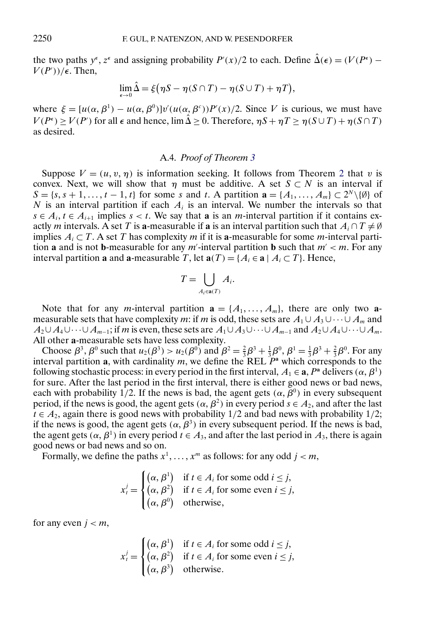the two paths  $y^{\epsilon}$ ,  $z^{\epsilon}$  and assigning probability  $P'(x)/2$  to each. Define  $\hat{\Delta}(\epsilon) = (V(P^{\epsilon}) V(P'))/\epsilon$ . Then,

$$
\lim_{\epsilon \to 0} \hat{\Delta} = \xi (\eta S - \eta (S \cap T) - \eta (S \cup T) + \eta T),
$$

where  $\xi = [u(\alpha, \beta^1) - u(\alpha, \beta^0)]v'(u(\alpha, \beta^c))P'(x)/2$ . Since V is curious, we must have  $V(P^{\epsilon}) \ge V(P')$  for all  $\epsilon$  and hence,  $\lim \hat{\Delta} \ge 0$ . Therefore,  $\eta S + \eta T \ge \eta (S \cup T) + \eta (S \cap T)$ as desired.

## A.4. *Proof of Theorem [3](#page-10-0)*

Suppose  $V = (u, v, \eta)$  is information seeking. It follows from Theorem [2](#page-9-0) that v is convex. Next, we will show that  $\eta$  must be additive. A set  $S \subset N$  is an interval if  $S = \{s, s+1, \ldots, t-1, t\}$  for some s and t. A partition  $\mathbf{a} = \{A_1, \ldots, A_m\} \subset 2^N \setminus \{\emptyset\}$  of N is an interval partition if each  $A_i$  is an interval. We number the intervals so that  $s \in A_i$ ,  $t \in A_{i+1}$  implies  $s < t$ . We say that **a** is an *m*-interval partition if it contains exactly m intervals. A set T is **a**-measurable if **a** is an interval partition such that  $A_i \cap T \neq \emptyset$ implies  $A_i \subset T$ . A set T has complexity m if it is **a**-measurable for some m-interval partition **a** and is not **b**-measurable for any  $m'$ -interval partition **b** such that  $m' < m$ . For any interval partition **a** and **a**-measurable T, let  $\mathbf{a}(T) = \{A_i \in \mathbf{a} \mid A_i \subset T\}$ . Hence,

$$
T = \bigcup_{A_i \in \mathbf{a}(T)} A_i.
$$

Note that for any *m*-interval partition  $\mathbf{a} = \{A_1, \ldots, A_m\}$ , there are only two **a**measurable sets that have complexity m: if m is odd, these sets are  $A_1 \cup A_3 \cup \cdots \cup A_m$  and  $A_2 \cup A_4 \cup \cdots \cup A_{m-1}$ ; if m is even, these sets are  $A_1 \cup A_3 \cup \cdots \cup A_{m-1}$  and  $A_2 \cup A_4 \cup \cdots \cup A_m$ . All other **a**-measurable sets have less complexity.

Choose  $\beta^3$ ,  $\beta^0$  such that  $u_2(\beta^3) > u_2(\beta^0)$  and  $\beta^2 = \frac{2}{3}\beta^3 + \frac{1}{3}\beta^0$ ,  $\beta^1 = \frac{1}{3}\beta^3 + \frac{2}{3}\beta^0$ . For any interval partition **a**, with cardinality m, we define the REL  $P^a$  which corresponds to the following stochastic process: in every period in the first interval,  $A_1 \in \mathbf{a}$ ,  $P^{\mathbf{a}}$  delivers  $(\alpha, \beta^1)$ for sure. After the last period in the first interval, there is either good news or bad news, each with probability 1/2. If the news is bad, the agent gets  $(\alpha, \beta^0)$  in every subsequent period, if the news is good, the agent gets  $(\alpha, \beta^2)$  in every period  $s \in A_2$ , and after the last  $t \in A_2$ , again there is good news with probability 1/2 and bad news with probability 1/2; if the news is good, the agent gets  $(\alpha, \beta^3)$  in every subsequent period. If the news is bad, the agent gets  $(\alpha, \beta^1)$  in every period  $t \in A_3$ , and after the last period in  $A_3$ , there is again good news or bad news and so on.

Formally, we define the paths  $x^1, \ldots, x^m$  as follows: for any odd  $j < m$ ,

$$
x_t^j = \begin{cases} (\alpha, \beta^1) & \text{if } t \in A_i \text{ for some odd } i \leq j, \\ (\alpha, \beta^2) & \text{if } t \in A_i \text{ for some even } i \leq j, \\ (\alpha, \beta^0) & \text{otherwise,} \end{cases}
$$

for any even  $j < m$ ,

$$
x_t^j = \begin{cases} (\alpha, \beta^1) & \text{if } t \in A_i \text{ for some odd } i \leq j, \\ (\alpha, \beta^2) & \text{if } t \in A_i \text{ for some even } i \leq j, \\ (\alpha, \beta^3) & \text{otherwise.} \end{cases}
$$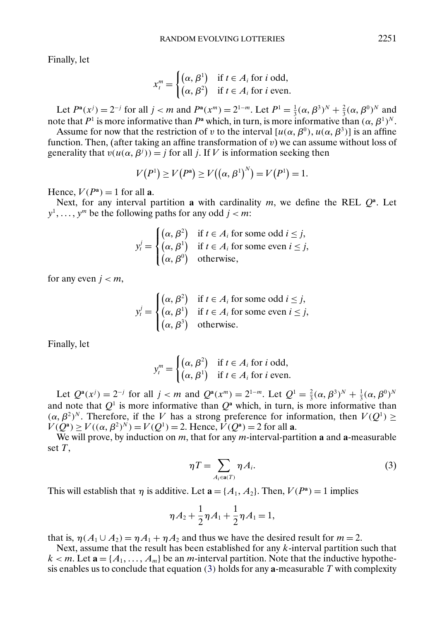<span id="page-26-0"></span>Finally, let

$$
x_t^m = \begin{cases} (\alpha, \beta^1) & \text{if } t \in A_i \text{ for } i \text{ odd,} \\ (\alpha, \beta^2) & \text{if } t \in A_i \text{ for } i \text{ even.} \end{cases}
$$

Let  $P^a(x^j) = 2^{-j}$  for all  $j < m$  and  $P^a(x^m) = 2^{1-m}$ . Let  $P^1 = \frac{1}{3}(\alpha, \beta^3)^N + \frac{2}{3}(\alpha, \beta^0)^N$  and note that  $P^1$  is more informative than  $P^a$  which, in turn, is more informative than  $(\alpha, \beta^1)^N$ .

Assume for now that the restriction of v to the interval  $[u(\alpha, \beta^0), u(\alpha, \beta^3)]$  is an affine function. Then, (after taking an affine transformation of  $v$ ) we can assume without loss of generality that  $v(u(\alpha, \beta^{j})) = j$  for all j. If V is information seeking then

$$
V(P^{1}) \ge V(P^{a}) \ge V((\alpha, \beta^{1})^{N}) = V(P^{1}) = 1.
$$

Hence,  $V(P^a) = 1$  for all **a**.

Next, for any interval partition **a** with cardinality m, we define the REL  $Q^a$ . Let  $y^1, \ldots, y^m$  be the following paths for any odd  $j < m$ :

$$
y_t^j = \begin{cases} (\alpha, \beta^2) & \text{if } t \in A_i \text{ for some odd } i \leq j, \\ (\alpha, \beta^1) & \text{if } t \in A_i \text{ for some even } i \leq j, \\ (\alpha, \beta^0) & \text{otherwise,} \end{cases}
$$

for any even  $j < m$ ,

$$
y_t^j = \begin{cases} (\alpha, \beta^2) & \text{if } t \in A_i \text{ for some odd } i \leq j, \\ (\alpha, \beta^1) & \text{if } t \in A_i \text{ for some even } i \leq j, \\ (\alpha, \beta^3) & \text{otherwise.} \end{cases}
$$

Finally, let

$$
y_t^m = \begin{cases} (\alpha, \beta^2) & \text{if } t \in A_i \text{ for } i \text{ odd,} \\ (\alpha, \beta^1) & \text{if } t \in A_i \text{ for } i \text{ even.} \end{cases}
$$

Let  $Q^{\mathbf{a}}(x^j) = 2^{-j}$  for all  $j < m$  and  $Q^{\mathbf{a}}(x^m) = 2^{1-m}$ . Let  $Q^1 = \frac{2}{3}(\alpha, \beta^3)^N + \frac{1}{3}(\alpha, \beta^0)^N$ and note that  $Q^1$  is more informative than  $Q^a$  which, in turn, is more informative than  $(\alpha, \beta^2)^N$ . Therefore, if the V has a strong preference for information, then  $V(Q^1) \ge$  $V(Q^{\bf a}) \ge V((\alpha, \beta^2)^N) = V(Q^1) = 2$ . Hence,  $V(Q^{\bf a}) = 2$  for all **a**.

We will prove, by induction on m, that for any m-interval-partition **a** and **a**-measurable set  $T$ ,

$$
\eta T = \sum_{A_i \in \mathbf{a}(T)} \eta A_i.
$$
 (3)

This will establish that  $\eta$  is additive. Let  $\mathbf{a} = \{A_1, A_2\}$ . Then,  $V(P^{\mathbf{a}}) = 1$  implies

$$
\eta A_2 + \frac{1}{2} \eta A_1 + \frac{1}{2} \eta A_1 = 1,
$$

that is,  $\eta(A_1 \cup A_2) = \eta A_1 + \eta A_2$  and thus we have the desired result for  $m = 2$ .

Next, assume that the result has been established for any  $k$ -interval partition such that  $k < m$ . Let  $\mathbf{a} = \{A_1, \ldots, A_m\}$  be an *m*-interval partition. Note that the inductive hypothesis enables us to conclude that equation (3) holds for any **a**-measurable T with complexity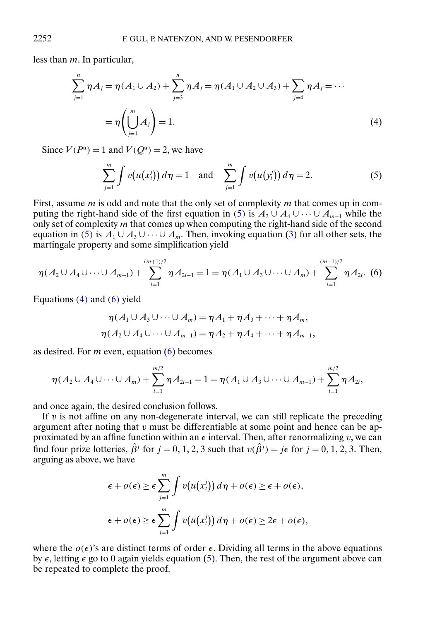less than *m*. In particular,

$$
\sum_{j=1}^{n} \eta A_j = \eta (A_1 \cup A_2) + \sum_{j=3}^{n} \eta A_j = \eta (A_1 \cup A_2 \cup A_3) + \sum_{j=4}^{n} \eta A_j = \cdots
$$
  
=  $\eta \left( \bigcup_{j=1}^{m} A_j \right) = 1.$  (4)

Since  $V(P^a) = 1$  and  $V(Q^a) = 2$ , we have

$$
\sum_{j=1}^{m} \int v(u(x_i^j)) d\eta = 1 \text{ and } \sum_{j=1}^{m} \int v(u(y_i^j)) d\eta = 2.
$$
 (5)

First, assume  $m$  is odd and note that the only set of complexity  $m$  that comes up in computing the right-hand side of the first equation in (5) is  $A_2 \cup A_4 \cup \cdots \cup A_{m-1}$  while the only set of complexity  $m$  that comes up when computing the right-hand side of the second equation in (5) is  $A_1 \cup A_3 \cup \cdots \cup A_m$ . Then, invoking equation [\(3\)](#page-26-0) for all other sets, the martingale property and some simplification yield

$$
\eta(A_2 \cup A_4 \cup \cdots \cup A_{m-1}) + \sum_{i=1}^{(m+1)/2} \eta A_{2i-1} = 1 = \eta(A_1 \cup A_3 \cup \cdots \cup A_m) + \sum_{i=1}^{(m-1)/2} \eta A_{2i}.
$$
 (6)

Equations (4) and (6) yield

$$
\eta(A_1 \cup A_3 \cup \cdots \cup A_m) = \eta A_1 + \eta A_3 + \cdots + \eta A_m,
$$
  

$$
\eta(A_2 \cup A_4 \cup \cdots \cup A_{m-1}) = \eta A_2 + \eta A_4 + \cdots + \eta A_{m-1},
$$

as desired. For  $m$  even, equation (6) becomes

$$
\eta(A_2 \cup A_4 \cup \cdots \cup A_m) + \sum_{i=1}^{m/2} \eta A_{2i-1} = 1 = \eta(A_1 \cup A_3 \cup \cdots \cup A_{m-1}) + \sum_{i=1}^{m/2} \eta A_{2i},
$$

and once again, the desired conclusion follows.

If  $\nu$  is not affine on any non-degenerate interval, we can still replicate the preceding argument after noting that v must be differentiable at some point and hence can be approximated by an affine function within an  $\epsilon$  interval. Then, after renormalizing v, we can find four prize lotteries,  $\hat{\beta}^j$  for  $j = 0, 1, 2, 3$  such that  $v(\hat{\beta}^j) = j\epsilon$  for  $j = 0, 1, 2, 3$ . Then, arguing as above, we have

$$
\epsilon + o(\epsilon) \ge \epsilon \sum_{j=1}^{m} \int v(u(x'_i)) d\eta + o(\epsilon) \ge \epsilon + o(\epsilon),
$$
  

$$
\epsilon + o(\epsilon) \ge \epsilon \sum_{j=1}^{m} \int v(u(x'_i)) d\eta + o(\epsilon) \ge 2\epsilon + o(\epsilon),
$$

where the  $o(\epsilon)$ 's are distinct terms of order  $\epsilon$ . Dividing all terms in the above equations by  $\epsilon$ , letting  $\epsilon$  go to 0 again yields equation (5). Then, the rest of the argument above can be repeated to complete the proof.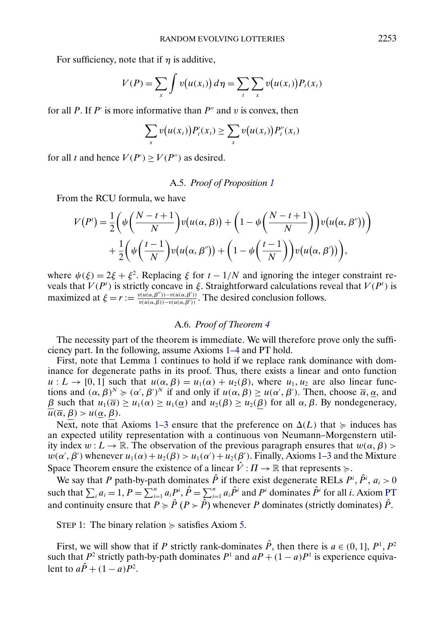<span id="page-28-0"></span>For sufficiency, note that if  $\eta$  is additive,

$$
V(P) = \sum_{x} \int v(u(x_t)) d\eta = \sum_{t} \sum_{x} v(u(x_t)) P_t(x_t)
$$

for all P. If P' is more informative than  $P''$  and v is convex, then

$$
\sum_{x} v(u(x_t)) P'_t(x_t) \geq \sum_{x} v(u(x_t)) P''_t(x_t)
$$

for all t and hence  $V(P') \ge V(P'')$  as desired.

# A.5. *Proof of Proposition [1](#page-10-0)*

From the RCU formula, we have

$$
V(P') = \frac{1}{2} \left( \psi \left( \frac{N-t+1}{N} \right) v(u(\alpha, \beta)) + \left( 1 - \psi \left( \frac{N-t+1}{N} \right) \right) v(u(\alpha, \beta')) \right) + \frac{1}{2} \left( \psi \left( \frac{t-1}{N} \right) v(u(\alpha, \beta')) + \left( 1 - \psi \left( \frac{t-1}{N} \right) \right) v(u(\alpha, \beta')) \right),
$$

where  $\psi(\xi) = 2\xi + \xi^2$ . Replacing  $\xi$  for  $t - 1/N$  and ignoring the integer constraint reveals that  $V(P^t)$  is strictly concave in  $\xi$ . Straightforward calculations reveal that  $V(P^t)$  is maximized at  $\xi = r := \frac{v(u(\alpha, \beta'')) - v(u(\alpha, \beta'))}{v(u(\alpha, \beta)) - v(u(\alpha, \beta'))}$ . The desired conclusion follows.

## A.6. *Proof of Theorem [4](#page-12-0)*

The necessity part of the theorem is immediate. We will therefore prove only the sufficiency part. In the following, assume Axioms [1–4](#page-6-0) and PT hold.

First, note that Lemma [1](#page-18-0) continues to hold if we replace rank dominance with dominance for degenerate paths in its proof. Thus, there exists a linear and onto function  $u: L \to [0, 1]$  such that  $u(\alpha, \beta) = u_1(\alpha) + u_2(\beta)$ , where  $u_1, u_2$  are also linear functions and  $(\alpha, \beta)^N \succcurlyeq (\alpha', \beta')^N$  if and only if  $u(\alpha, \beta) \geq u(\alpha', \beta')$ . Then, choose  $\overline{\alpha}, \underline{\alpha}$ , and β such that  $u_1(\overline{\alpha}) \ge u_1(\alpha) \ge u_1(\alpha)$  and  $u_2(\beta) \ge u_2(\beta)$  for all  $\alpha, \beta$ . By nondegeneracy,  $\overline{u}(\overline{\alpha}, \beta) > u(\alpha, \beta).$ 

Next, note that Axioms [1–3](#page-6-0) ensure that the preference on  $\Delta(L)$  that  $\succcurlyeq$  induces has an expected utility representation with a continuous von Neumann–Morgenstern utility index  $w: L \to \mathbb{R}$ . The observation of the previous paragraph ensures that  $w(\alpha, \beta)$  $w(\alpha', \beta')$  whenever  $u_1(\alpha) + u_2(\beta) > u_1(\alpha') + u_2(\beta')$ . Finally, Axioms [1–3](#page-6-0) and the Mixture Space Theorem ensure the existence of a linear  $\hat{V}: \Pi \to \mathbb{R}$  that represents  $\succcurlyeq$ .

We say that P path-by-path dominates  $\hat{P}$  if there exist degenerate RELs  $P^i$ ,  $\hat{P}^i$ ,  $a_i > 0$ such that  $\sum_i a_i = 1$ ,  $P = \sum_{i=1}^n a_i P^i$ ,  $\hat{P} = \sum_{i=1}^n a_i \hat{P}^i$  and  $P^i$  dominates  $\hat{P}^i$  for all *i*. Axiom [PT](#page-12-0) and continuity ensure that  $P \succcurlyeq \hat{P}$  ( $P \succ \hat{P}$ ) whenever P dominates (strictly dominates)  $\hat{P}$ .

STEP 1: The binary relation  $\succcurlyeq$  satisfies Axiom [5.](#page-7-0)

First, we will show that if P strictly rank-dominates  $\hat{P}$ , then there is  $a \in (0, 1]$ ,  $P<sup>1</sup>$ ,  $P<sup>2</sup>$ such that  $P^2$  strictly path-by-path dominates  $P^1$  and  $aP + (1 - a)P^1$  is experience equivalent to  $a\hat{P} + (1 - a)P^2$ .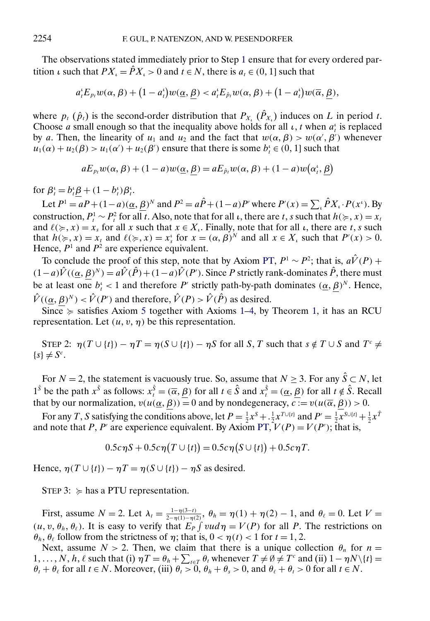<span id="page-29-0"></span>The observations stated immediately prior to Step [1](#page-28-0) ensure that for every ordered partition *ι* such that  $PX_{i} = \hat{P}X_{i} > 0$  and  $t \in N$ , there is  $a_{t} \in (0, 1]$  such that

$$
a_t^{\iota} E_{p_t} w(\alpha, \beta) + (1 - a_t^{\iota}) w(\underline{\alpha}, \underline{\beta}) < a_t^{\iota} E_{\hat{p}_t} w(\alpha, \beta) + (1 - a_t^{\iota}) w(\overline{\alpha}, \underline{\beta}),
$$

where  $p_t$  ( $\hat{p}_t$ ) is the second-order distribution that  $P_{X_t}$  ( $\hat{P}_{X_t}$ ) induces on L in period t. Choose *a* small enough so that the inequality above holds for all  $\iota$ , *t* when  $a_t^i$  is replaced by a. Then, the linearity of  $u_1$  and  $u_2$  and the fact that  $w(\alpha, \beta) > w(\alpha', \beta')$  whenever  $u_1(\alpha) + u_2(\beta) > u_1(\alpha') + u_2(\beta')$  ensure that there is some  $b_t^i \in (0, 1]$  such that

$$
aE_{p_t}w(\alpha, \beta) + (1 - a)w(\underline{\alpha}, \underline{\beta}) = aE_{\hat{p}_t}w(\alpha, \beta) + (1 - a)w(\alpha_t^*, \underline{\beta})
$$

for  $\beta_t^i = b_t^i \underline{\beta} + (1 - b_t^i) \beta_t^i$ .

Let  $P^1 = aP + (1 - a)(\underline{\alpha}, \underline{\beta})^N$  and  $P^2 = a\hat{P} + (1 - a)P'$  where  $P'(x) = \sum_i \hat{P}X_i \cdot P(x^i)$ . By construction,  $P_t^1 \sim P_t^2$  for all t. Also, note that for all  $\iota$ , there are t, s such that  $h(\succcurlyeq, x) = x_t$ and  $\ell(\succcurlyeq, x) = x_s$  for all x such that  $x \in X_t$ . Finally, note that for all  $\iota$ , there are t, s such that  $h(\succcurlyeq, x) = x_t$  and  $\ell(\succcurlyeq, x) = x_s^t$  for  $x = (\alpha, \beta)^N$  and all  $x \in X_t$  such that  $P'(x) > 0$ . Hence,  $P<sup>1</sup>$  and  $P<sup>2</sup>$  are experience equivalent.

To conclude the proof of this step, note that by Axiom [PT,](#page-12-0)  $P^1 \sim P^2$ ; that is,  $a\hat{V}(P)$  +  $(1-a)\hat{V}((\underline{\alpha}, \beta)^N) = a\hat{V}(\hat{P}) + (1-a)\hat{V}(P')$ . Since P strictly rank-dominates  $\hat{P}$ , there must be at least one  $b_t^i < 1$  and therefore P' strictly path-by-path dominates  $(\underline{\alpha}, \underline{\beta})^N$ . Hence,  $\hat{V}((\underline{\alpha}, \beta)^N) < \hat{V}(P')$  and therefore,  $\hat{V}(P) > \hat{V}(\hat{P})$  as desired.

Since  $\succcurlyeq$  satisfies Axiom [5](#page-7-0) together with Axioms [1–4,](#page-6-0) by Theorem [1,](#page-8-0) it has an RCU representation. Let  $(u, v, \eta)$  be this representation.

STEP 2:  $\eta(T \cup \{t\}) - \eta T = \eta(S \cup \{t\}) - \eta S$  for all S, T such that  $s \notin T \cup S$  and  $T^c \neq$  $\{s\} \neq S^c$ .

For  $N = 2$ , the statement is vacuously true. So, assume that  $N \ge 3$ . For any  $\hat{S} \subset N$ , let  $1^{\hat{s}}$  be the path  $x^{\hat{s}}$  as follows:  $x_t^{\hat{s}} = (\overline{\alpha}, \overline{\beta})$  for all  $t \in \hat{S}$  and  $x_t^{\hat{s}} = (\underline{\alpha}, \underline{\beta})$  for all  $t \notin \hat{S}$ . Recall that by our normalization,  $v(u(\underline{\alpha}, \beta)) = 0$  and by nondegeneracy,  $c := v(u(\overline{\alpha}, \beta)) > 0$ .

For any T, S satisfying the conditions above, let  $P = \frac{1}{2}x^S + \frac{1}{2}x^{T\cup\{t\}}$  and  $P' = \frac{1}{2}x^{S\cup\{t\}} + \frac{1}{2}x^T$ and note that P, P' are experience equivalent. By Axiom [PT,](#page-12-0)  $V(P) = V(P')$ ; that is,

$$
0.5c\eta S + 0.5c\eta(T \cup \{t\}) = 0.5c\eta(S \cup \{t\}) + 0.5c\eta T.
$$

Hence,  $\eta(T \cup \{t\}) - \eta T = \eta(S \cup \{t\}) - \eta S$  as desired.

STEP 3:  $\succcurlyeq$  has a PTU representation.

First, assume  $N = 2$ . Let  $\lambda_t = \frac{1 - \eta(3-t)}{2 - \eta(1) - \eta(2)}$ ,  $\theta_h = \eta(1) + \eta(2) - 1$ , and  $\theta_\ell = 0$ . Let  $V =$  $(u, v, \theta_h, \theta_\ell)$ . It is easy to verify that  $E_P \int v u d\eta = V(P)$  for all P. The restrictions on  $\theta_h$ ,  $\theta_\ell$  follow from the strictness of  $\eta$ ; that is,  $0 < \eta(t) < 1$  for  $t = 1, 2$ .

Next, assume  $N > 2$ . Then, we claim that there is a unique collection  $\theta_n$  for  $n =$ 1, ..., N, h,  $\ell$  such that (i)  $\eta T = \theta_h + \sum_{t \in T} \theta_t$  whenever  $T \neq \emptyset \neq T^c$  and (ii)  $1 - \eta N \setminus \{t\} =$  $\theta_t + \theta_\ell$  for all  $t \in N$ . Moreover, (iii)  $\theta_t > 0$ ,  $\theta_h + \theta_s > 0$ , and  $\theta_\ell + \theta_t > 0$  for all  $t \in N$ .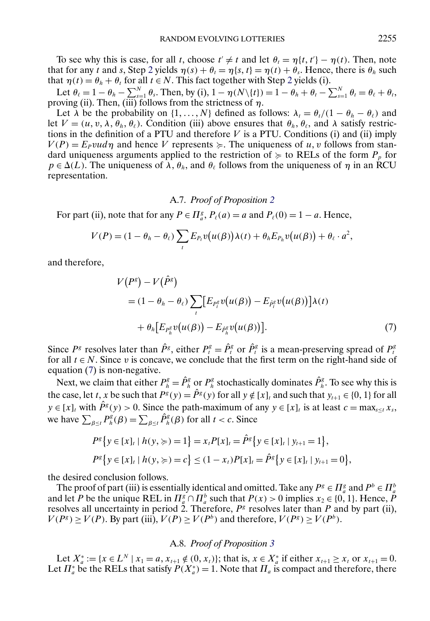To see why this is case, for all t, choose  $t' \neq t$  and let  $\theta_t = \eta\{t, t'\} - \eta(t)$ . Then, note that for any t and s, Step [2](#page-29-0) yields  $\eta(s) + \theta_t = \eta\{s, t\} = \eta(t) + \theta_s$ . Hence, there is  $\theta_h$  such that  $\eta(t) = \theta_h + \theta_t$  for all  $t \in N$ . This fact together with Step [2](#page-29-0) yields (i).

Let  $\theta_{\ell} = 1 - \theta_h - \sum_{s=1}^{N} \theta_s$ . Then, by (i),  $1 - \eta(N \setminus \{t\}) = 1 - \theta_h + \theta_t - \sum_{s=1}^{N} \theta_t = \theta_{\ell} + \theta_t$ , proving (ii). Then,  $(iii)$  follows from the strictness of  $\eta$ .

Let  $\lambda$  be the probability on  $\{1, \ldots, N\}$  defined as follows:  $\lambda_t = \theta_t/(1 - \theta_h - \theta_\ell)$  and let  $V = (u, v, \lambda, \theta_h, \theta_\ell)$ . Condition (iii) above ensures that  $\theta_h, \theta_\ell$ , and  $\lambda$  satisfy restrictions in the definition of a PTU and therefore  $V$  is a PTU. Conditions (i) and (ii) imply  $V(P) = E<sub>P</sub> v u d \eta$  and hence V represents  $\succeq$ . The uniqueness of u, v follows from standard uniqueness arguments applied to the restriction of  $\succcurlyeq$  to RELs of the form  $P_p$  for  $p \in \Delta(L)$ . The uniqueness of  $\lambda$ ,  $\theta_h$ , and  $\theta_\ell$  follows from the uniqueness of  $\eta$  in an RCU representation.

# A.7. *Proof of Proposition [2](#page-14-0)*

For part (ii), note that for any  $P \in \prod_{a}^{g}$ ,  $P_{\ell}(a) = a$  and  $P_{\ell}(0) = 1 - a$ . Hence,

$$
V(P) = (1 - \theta_h - \theta_\ell) \sum_t E_{P_t} v(u(\beta)) \lambda(t) + \theta_h E_{P_h} v(u(\beta)) + \theta_\ell \cdot a^2,
$$

and therefore,

$$
V(P^g) - V(\hat{P}^g)
$$
  
=  $(1 - \theta_h - \theta_\ell) \sum_t [E_{P^g_t} v(u(\beta)) - E_{\hat{P}^g_t} v(u(\beta))] \lambda(t)$   
+  $\theta_h [E_{P^g_h} v(u(\beta)) - E_{\hat{P}^g_h} v(u(\beta))].$  (7)

Since P<sup>g</sup> resolves later than  $\hat{P}^g$ , either  $P_t^g = \hat{P}_t^g$  or  $\hat{P}_t^g$  is a mean-preserving spread of  $P_t^g$ for all  $t \in N$ . Since v is concave, we conclude that the first term on the right-hand side of equation (7) is non-negative.

Next, we claim that either  $P_h^g = \hat{P}_h^g$  or  $P_h^g$  stochastically dominates  $\hat{P}_h^g$ . To see why this is the case, let t, x be such that  $P^{g}(y) = \hat{P}^{g}(y)$  for all  $y \notin [x]_t$  and such that  $y_{t+1} \in \{0, 1\}$  for all  $y \in [x]_t$  with  $\hat{P}^g(y) > 0$ . Since the path-maximum of any  $y \in [x]_t$  is at least  $c = \max_{s \le t} x_s$ , we have  $\sum_{\beta \leq t} P_h^g(\beta) = \sum_{\beta \leq t} \hat{P}_h^g(\beta)$  for all  $t < c$ . Since

$$
P^g\{y \in [x]_t \mid h(y, \geqslant) = 1\} = x_t P[x]_t = \hat{P}^g\{y \in [x]_t \mid y_{t+1} = 1\},\
$$
  

$$
P^g\{y \in [x]_t \mid h(y, \geqslant) = c\} \leq (1 - x_t)P[x]_t = \hat{P}^g\{y \in [x]_t \mid y_{t+1} = 0\},\
$$

the desired conclusion follows.

The proof of part (iii) is essentially identical and omitted. Take any  $P^g \in \Pi_a^g$  and  $P^b \in \Pi_a^b$ and let P be the unique REL in  $\Pi_a^g \cap \Pi_a^b$  such that  $P(x) > 0$  implies  $x_2 \in \{0, 1\}$ . Hence, P resolves all uncertainty in period 2. Therefore,  $P^g$  resolves later than P and by part (ii),  $V(P^g) \ge V(P)$ . By part (iii),  $V(P) \ge V(P^b)$  and therefore,  $V(P^g) \ge V(P^b)$ .

## A.8. *Proof of Proposition [3](#page-15-0)*

Let  $X_a^* := \{x \in L^N \mid x_1 = a, x_{t+1} \notin (0, x_t)\};$  that is,  $x \in X_a^*$  if either  $x_{t+1} \ge x_t$  or  $x_{t+1} = 0$ . Let  $\Pi_a^*$  be the RELs that satisfy  $P(X_a^*) = 1$ . Note that  $\Pi_a$  is compact and therefore, there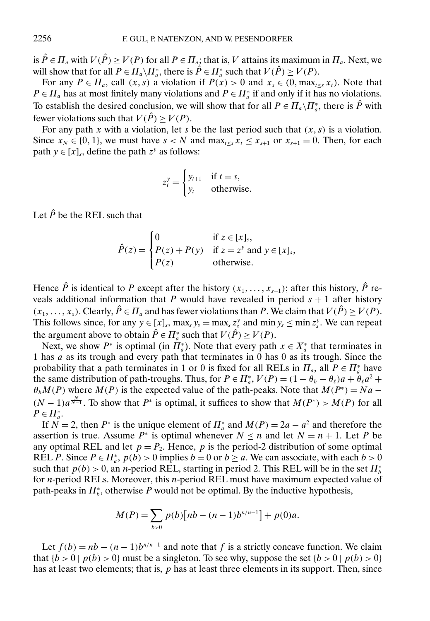is  $\hat{P} \in \Pi_a$  with  $V(\hat{P}) \ge V(P)$  for all  $P \in \Pi_a$ ; that is, V attains its maximum in  $\Pi_a$ . Next, we will show that for all  $P \in \Pi_a \backslash \Pi_a^*$ , there is  $\hat{P} \in \Pi_a^*$  such that  $V(\hat{P}) \geq V(P)$ .

For any  $P \in \Pi_a$ , call  $(x, s)$  a violation if  $P(x) > 0$  and  $x_s \in (0, \max_{t \leq s} x_t)$ . Note that  $P \in \Pi_a$  has at most finitely many violations and  $P \in \Pi_a^*$  if and only if it has no violations. To establish the desired conclusion, we will show that for all  $P \in \prod_a \setminus \prod_a^*$ , there is  $\hat{P}$  with fewer violations such that  $V(\hat{P}) > V(P)$ .

For any path x with a violation, let s be the last period such that  $(x, s)$  is a violation. Since  $x_N \in \{0, 1\}$ , we must have  $s < N$  and  $\max_{t \le s} x_t \le x_{s+1}$  or  $x_{s+1} = 0$ . Then, for each path  $y \in [x]_s$ , define the path  $z^y$  as follows:

$$
z_t^y = \begin{cases} y_{t+1} & \text{if } t = s, \\ y_t & \text{otherwise.} \end{cases}
$$

Let  $\hat{P}$  be the REL such that

$$
\hat{P}(z) = \begin{cases}\n0 & \text{if } z \in [x]_s, \\
P(z) + P(y) & \text{if } z = z^y \text{ and } y \in [x]_s, \\
P(z) & \text{otherwise.} \n\end{cases}
$$

Hence  $\hat{P}$  is identical to P except after the history  $(x_1, \ldots, x_{s-1})$ ; after this history,  $\hat{P}$  reveals additional information that P would have revealed in period  $s + 1$  after history  $(x_1, \ldots, x_s)$ . Clearly,  $\hat{P} \in \Pi_a$  and has fewer violations than P. We claim that  $V(\hat{P}) \geq V(P)$ . This follows since, for any  $y \in [x]_s$ ,  $\max_s y_s = \max_s z_s^y$  and  $\min y_s \le \min z_s^y$ . We can repeat the argument above to obtain  $\hat{P} \in \Pi_a^*$  such that  $V(\hat{P}) \geq V(P)$ .

Next, we show  $P^*$  is optimal (in  $\Pi_a^*$ ). Note that every path  $x \in X_a^*$  that terminates in 1 has a as its trough and every path that terminates in 0 has 0 as its trough. Since the probability that a path terminates in 1 or 0 is fixed for all RELs in  $\Pi_a$ , all  $P \in \Pi_a^*$  have the same distribution of path-troughs. Thus, for  $P \in \prod_a^*$ ,  $V(P) = (1 - \theta_h - \theta_\ell)a + \theta_\ell a^2 +$  $\theta_h M(P)$  where  $M(P)$  is the expected value of the path-peaks. Note that  $M(P^*) = Na (N-1)a^{\frac{N}{N-1}}$ . To show that  $P^*$  is optimal, it suffices to show that  $M(P^*) > M(P)$  for all  $P \in \Pi_a^*$ .

If  $N = 2$ , then  $P^*$  is the unique element of  $\prod_a^*$  and  $M(P) = 2a - a^2$  and therefore the assertion is true. Assume  $P^*$  is optimal whenever  $N \le n$  and let  $N = n + 1$ . Let P be any optimal REL and let  $p = P_2$ . Hence, p is the period-2 distribution of some optimal REL P. Since  $P \in \prod_a^*$ ,  $p(b) > 0$  implies  $b = 0$  or  $b \ge a$ . We can associate, with each  $b > 0$ such that  $p(b) > 0$ , an *n*-period REL, starting in period 2. This REL will be in the set  $\Pi_b^*$ for  $n$ -period RELs. Moreover, this  $n$ -period REL must have maximum expected value of path-peaks in  $\Pi_b^*$ , otherwise P would not be optimal. By the inductive hypothesis,

$$
M(P) = \sum_{b>0} p(b) [nb - (n-1)b^{n/n-1}] + p(0)a.
$$

Let  $f(b) = nb - (n-1)b^{n/n-1}$  and note that f is a strictly concave function. We claim that  ${b > 0 \mid p(b) > 0}$  must be a singleton. To see why, suppose the set  ${b > 0 \mid p(b) > 0}$ has at least two elements; that is,  $p$  has at least three elements in its support. Then, since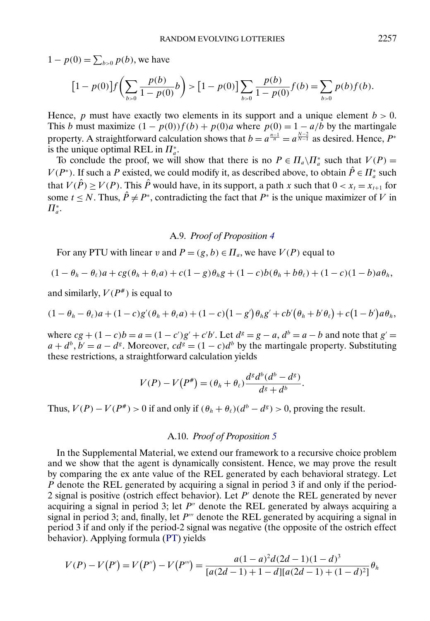$1 - p(0) = \sum_{b>0} p(b)$ , we have

$$
[1 - p(0)]f\left(\sum_{b>0} \frac{p(b)}{1 - p(0)}b\right) > [1 - p(0)] \sum_{b>0} \frac{p(b)}{1 - p(0)}f(b) = \sum_{b>0} p(b)f(b).
$$

Hence, p must have exactly two elements in its support and a unique element  $b > 0$ . This b must maximize  $(1 - p(0))f(b) + p(0)a$  where  $p(0) = 1 - a/b$  by the martingale property. A straightforward calculation shows that  $b = a^{\frac{n-1}{n}} = a^{\frac{N-2}{N-1}}$  as desired. Hence,  $P^*$ is the unique optimal REL in  $\Pi^*_a$ .

To conclude the proof, we will show that there is no  $P \in \prod_a \setminus \prod_a^*$  such that  $V(P) =$  $V(P^*)$ . If such a P existed, we could modify it, as described above, to obtain  $\hat{P} \in \Pi_a^*$  such that  $V(\hat{P}) \ge V(P)$ . This  $\hat{P}$  would have, in its support, a path x such that  $0 < x_t = x_{t+1}$  for some  $t \le N$ . Thus,  $\hat{P} \ne P^*$ , contradicting the fact that  $P^*$  is the unique maximizer of V in  $\Pi^*_a$ .

### A.9. *Proof of Proposition [4](#page-16-0)*

For any PTU with linear v and  $P = (g, b) \in \Pi_a$ , we have  $V(P)$  equal to

$$
(1 - \theta_h - \theta_\ell)a + cg(\theta_h + \theta_\ell a) + c(1 - g)\theta_h g + (1 - c)b(\theta_h + b\theta_\ell) + (1 - c)(1 - b)a\theta_h,
$$

and similarly,  $V(P^*)$  is equal to

$$
(1-\theta_h-\theta_\ell)a+(1-c)g'(\theta_h+\theta_\ell a)+(1-c)(1-g')\theta_hg'+cb'(\theta_h+b'\theta_\ell)+c(1-b')a\theta_h,
$$

where  $cg + (1 - c)b = a = (1 - c')g' + c'b'.$  Let  $d^g = g - a$ ,  $d^b = a - b$  and note that  $g' = g$  $a + d^b$ ,  $b' = a - d^g$ . Moreover,  $cd^g = (1 - c)d^b$  by the martingale property. Substituting these restrictions, a straightforward calculation yields

$$
V(P) - V(P^*) = (\theta_h + \theta_\ell) \frac{d^s d^b (d^b - d^s)}{d^s + d^b}.
$$

Thus,  $V(P) - V(P^*) > 0$  if and only if  $(\theta_h + \theta_\ell)(d^b - d^s) > 0$ , proving the result.

## A.10. *Proof of Proposition [5](#page-17-0)*

In the Supplemental Material, we extend our framework to a recursive choice problem and we show that the agent is dynamically consistent. Hence, we may prove the result by comparing the ex ante value of the REL generated by each behavioral strategy. Let P denote the REL generated by acquiring a signal in period 3 if and only if the period-2 signal is positive (ostrich effect behavior). Let  $P'$  denote the REL generated by never acquiring a signal in period 3; let  $P''$  denote the REL generated by always acquiring a signal in period 3; and, finally, let  $P'''$  denote the REL generated by acquiring a signal in period 3 if and only if the period-2 signal was negative (the opposite of the ostrich effect behavior). Applying formula [\(PT\)](#page-11-0) yields

$$
V(P) - V(P') = V(P'') - V(P''') = \frac{a(1-a)^2d(2d-1)(1-d)^3}{[a(2d-1)+1-d][a(2d-1)+(1-d)^2]} \theta_h
$$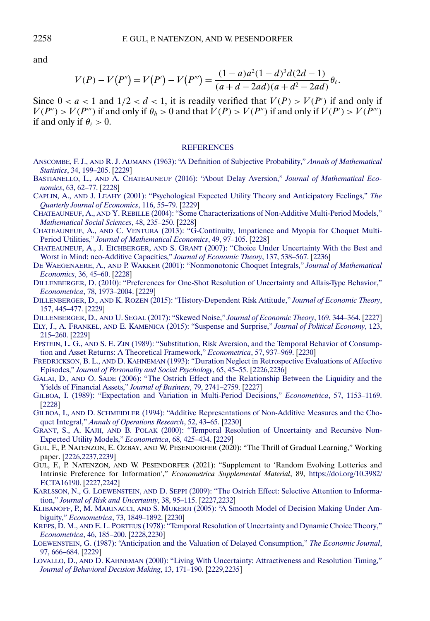and

$$
V(P) - V(P'') = V(P') - V(P''') = \frac{(1-a)a^2(1-d)^3d(2d-1)}{(a+d-2ad)(a+d^2-2ad)}\theta_{\ell}.
$$

Since  $0 < a < 1$  and  $1/2 < d < 1$ , it is readily verified that  $V(P) > V(P')$  if and only if  $V(P'') > V(P''')$  if and only if  $\theta_h > 0$  and that  $V(P) > V(P'')$  if and only if  $V(P') > V(P''')$ if and only if  $\theta_{\ell} > 0$ .

#### **[REFERENCES](http://www.e-publications.org/srv/ecta/linkserver/setprefs?rfe_id=urn:sici%2F0012-9682%282021%2989%3A5%3C2225%3ARELAIP%3E2.0.CO%3B2-J)**

- ANSCOMBE, F. J., AND R. J. AUMANN [\(1963\): "A Definition of Subjective Probability,"](http://www.e-publications.org/srv/ecta/linkserver/openurl?rft_dat=bib:1/1&rfe_id=urn:sici%2F0012-9682%282021%2989%3A5%3C2225%3ARELAIP%3E2.0.CO%3B2-J) *Annals of Mathematical Statistics*[, 34, 199–205.](http://www.e-publications.org/srv/ecta/linkserver/openurl?rft_dat=bib:1/1&rfe_id=urn:sici%2F0012-9682%282021%2989%3A5%3C2225%3ARELAIP%3E2.0.CO%3B2-J) [\[2229\]](#page-4-0)
- BASTIANELLO, L., AND A. CHATEAUNEUF [\(2016\): "About Delay Aversion,"](http://www.e-publications.org/srv/ecta/linkserver/openurl?rft_dat=bib:2/2&rfe_id=urn:sici%2F0012-9682%282021%2989%3A5%3C2225%3ARELAIP%3E2.0.CO%3B2-J) *Journal of Mathematical Economics*[, 63, 62–77.](http://www.e-publications.org/srv/ecta/linkserver/openurl?rft_dat=bib:2/2&rfe_id=urn:sici%2F0012-9682%282021%2989%3A5%3C2225%3ARELAIP%3E2.0.CO%3B2-J) [\[2228\]](#page-3-0)
- CAPLIN, A., AND J. LEAHY [\(2001\): "Psychological Expected Utility Theory and Anticipatory Feelings,"](http://www.e-publications.org/srv/ecta/linkserver/openurl?rft_dat=bib:3/3&rfe_id=urn:sici%2F0012-9682%282021%2989%3A5%3C2225%3ARELAIP%3E2.0.CO%3B2-J) *The [Quarterly Journal of Economics](http://www.e-publications.org/srv/ecta/linkserver/openurl?rft_dat=bib:3/3&rfe_id=urn:sici%2F0012-9682%282021%2989%3A5%3C2225%3ARELAIP%3E2.0.CO%3B2-J)*, 116, 55–79. [\[2229\]](#page-4-0)
- CHATEAUNEUF, A., AND Y. REBILLE [\(2004\): "Some Characterizations of Non-Additive Multi-Period Models,"](http://www.e-publications.org/srv/ecta/linkserver/openurl?rft_dat=bib:4/5&rfe_id=urn:sici%2F0012-9682%282021%2989%3A5%3C2225%3ARELAIP%3E2.0.CO%3B2-J) *[Mathematical Social Sciences](http://www.e-publications.org/srv/ecta/linkserver/openurl?rft_dat=bib:4/5&rfe_id=urn:sici%2F0012-9682%282021%2989%3A5%3C2225%3ARELAIP%3E2.0.CO%3B2-J)*, 48, 235–250. [\[2228\]](#page-3-0)
- CHATEAUNEUF, A., AND C. VENTURA [\(2013\): "G-Continuity, Impatience and Myopia for Choquet Multi-](http://www.e-publications.org/srv/ecta/linkserver/openurl?rft_dat=bib:5/6&rfe_id=urn:sici%2F0012-9682%282021%2989%3A5%3C2225%3ARELAIP%3E2.0.CO%3B2-J)Period Utilities," *[Journal of Mathematical Economics](http://www.e-publications.org/srv/ecta/linkserver/openurl?rft_dat=bib:5/6&rfe_id=urn:sici%2F0012-9682%282021%2989%3A5%3C2225%3ARELAIP%3E2.0.CO%3B2-J)*, 49, 97–105. [\[2228\]](#page-3-0)
- CHATEAUNEUF, A., J. EICHBERGER, AND S. GRANT [\(2007\): "Choice Under Uncertainty With the Best and](http://www.e-publications.org/srv/ecta/linkserver/openurl?rft_dat=bib:6/4&rfe_id=urn:sici%2F0012-9682%282021%2989%3A5%3C2225%3ARELAIP%3E2.0.CO%3B2-J) [Worst in Mind: neo-Additive Capacities,"](http://www.e-publications.org/srv/ecta/linkserver/openurl?rft_dat=bib:6/4&rfe_id=urn:sici%2F0012-9682%282021%2989%3A5%3C2225%3ARELAIP%3E2.0.CO%3B2-J) *Journal of Economic Theory*, 137, 538–567. [\[2236\]](#page-11-0)
- DE WAEGENAERE, A., AND P. WAKKER [\(2001\): "Nonmonotonic Choquet Integrals,"](http://www.e-publications.org/srv/ecta/linkserver/openurl?rft_dat=bib:7/7&rfe_id=urn:sici%2F0012-9682%282021%2989%3A5%3C2225%3ARELAIP%3E2.0.CO%3B2-J) *Journal of Mathematical Economics*[, 36, 45–60.](http://www.e-publications.org/srv/ecta/linkserver/openurl?rft_dat=bib:7/7&rfe_id=urn:sici%2F0012-9682%282021%2989%3A5%3C2225%3ARELAIP%3E2.0.CO%3B2-J) [\[2228\]](#page-3-0)
- [DILLENBERGER, D. \(2010\): "Preferences for One-Shot Resolution of Uncertainty and Allais-Type Behavior,"](http://www.e-publications.org/srv/ecta/linkserver/openurl?rft_dat=bib:8/8&rfe_id=urn:sici%2F0012-9682%282021%2989%3A5%3C2225%3ARELAIP%3E2.0.CO%3B2-J) *Econometrica*[, 78, 1973–2004.](http://www.e-publications.org/srv/ecta/linkserver/openurl?rft_dat=bib:8/8&rfe_id=urn:sici%2F0012-9682%282021%2989%3A5%3C2225%3ARELAIP%3E2.0.CO%3B2-J) [\[2229\]](#page-4-0)
- DILLENBERGER, D., AND K. ROZEN [\(2015\): "History-Dependent Risk Attitude,"](http://www.e-publications.org/srv/ecta/linkserver/openurl?rft_dat=bib:9/10&rfe_id=urn:sici%2F0012-9682%282021%2989%3A5%3C2225%3ARELAIP%3E2.0.CO%3B2-J) *Journal of Economic Theory*, [157, 445–477.](http://www.e-publications.org/srv/ecta/linkserver/openurl?rft_dat=bib:9/10&rfe_id=urn:sici%2F0012-9682%282021%2989%3A5%3C2225%3ARELAIP%3E2.0.CO%3B2-J) [\[2229\]](#page-4-0)

DILLENBERGER, D., AND U. SEGAL (2017): "Skewed Noise," *[Journal of Economic Theory](http://www.e-publications.org/srv/ecta/linkserver/openurl?rft_dat=bib:10/9&rfe_id=urn:sici%2F0012-9682%282021%2989%3A5%3C2225%3ARELAIP%3E2.0.CO%3B2-J)*, 169, 344–364. [\[2227\]](#page-2-0)

- ELY, J., A. FRANKEL, AND E. KAMENICA [\(2015\): "Suspense and Surprise,"](http://www.e-publications.org/srv/ecta/linkserver/openurl?rft_dat=bib:11/11&rfe_id=urn:sici%2F0012-9682%282021%2989%3A5%3C2225%3ARELAIP%3E2.0.CO%3B2-J) *Journal of Political Economy*, 123, [215–260.](http://www.e-publications.org/srv/ecta/linkserver/openurl?rft_dat=bib:11/11&rfe_id=urn:sici%2F0012-9682%282021%2989%3A5%3C2225%3ARELAIP%3E2.0.CO%3B2-J) [\[2229\]](#page-4-0)
- EPSTEIN, L. G., AND S. E. ZIN [\(1989\): "Substitution, Risk Aversion, and the Temporal Behavior of Consump](http://www.e-publications.org/srv/ecta/linkserver/openurl?rft_dat=bib:12/12&rfe_id=urn:sici%2F0012-9682%282021%2989%3A5%3C2225%3ARELAIP%3E2.0.CO%3B2-J)[tion and Asset Returns: A Theoretical Framework,"](http://www.e-publications.org/srv/ecta/linkserver/openurl?rft_dat=bib:12/12&rfe_id=urn:sici%2F0012-9682%282021%2989%3A5%3C2225%3ARELAIP%3E2.0.CO%3B2-J) *Econometrica*, 57, 937–969. [\[2230\]](#page-5-0)
- FREDRICKSON, B. L., AND D. KAHNEMAN [\(1993\): "Duration Neglect in Retrospective Evaluations of Affective](http://www.e-publications.org/srv/ecta/linkserver/openurl?rft_dat=bib:13/13&rfe_id=urn:sici%2F0012-9682%282021%2989%3A5%3C2225%3ARELAIP%3E2.0.CO%3B2-J) Episodes," *[Journal of Personality and Social Psychology](http://www.e-publications.org/srv/ecta/linkserver/openurl?rft_dat=bib:13/13&rfe_id=urn:sici%2F0012-9682%282021%2989%3A5%3C2225%3ARELAIP%3E2.0.CO%3B2-J)*, 65, 45–55. [\[2226,](#page-1-0)[2236\]](#page-11-0)
- GALAI, D., AND O. SADE [\(2006\): "The Ostrich Effect and the Relationship Between the Liquidity and the](http://www.e-publications.org/srv/ecta/linkserver/openurl?rft_dat=bib:14/14&rfe_id=urn:sici%2F0012-9682%282021%2989%3A5%3C2225%3ARELAIP%3E2.0.CO%3B2-J) [Yields of Financial Assets,"](http://www.e-publications.org/srv/ecta/linkserver/openurl?rft_dat=bib:14/14&rfe_id=urn:sici%2F0012-9682%282021%2989%3A5%3C2225%3ARELAIP%3E2.0.CO%3B2-J) *Journal of Business*, 79, 2741–2759. [\[2227\]](#page-2-0)
- [GILBOA, I. \(1989\): "Expectation and Variation in Multi-Period Decisions,"](http://www.e-publications.org/srv/ecta/linkserver/openurl?rft_dat=bib:15/15&rfe_id=urn:sici%2F0012-9682%282021%2989%3A5%3C2225%3ARELAIP%3E2.0.CO%3B2-J) *Econometrica*, 57, 1153–1169. [\[2228\]](#page-3-0)
- GILBOA, I., AND D. SCHMEIDLER [\(1994\): "Additive Representations of Non-Additive Measures and the Cho](http://www.e-publications.org/srv/ecta/linkserver/openurl?rft_dat=bib:16/16&rfe_id=urn:sici%2F0012-9682%282021%2989%3A5%3C2225%3ARELAIP%3E2.0.CO%3B2-J)quet Integral," *[Annals of Operations Research](http://www.e-publications.org/srv/ecta/linkserver/openurl?rft_dat=bib:16/16&rfe_id=urn:sici%2F0012-9682%282021%2989%3A5%3C2225%3ARELAIP%3E2.0.CO%3B2-J)*, 52, 43–65. [\[2230\]](#page-5-0)
- GRANT, S., A. KAJII, AND B. POLAK [\(2000\): "Temporal Resolution of Uncertainty and Recursive Non-](http://www.e-publications.org/srv/ecta/linkserver/openurl?rft_dat=bib:17/17&rfe_id=urn:sici%2F0012-9682%282021%2989%3A5%3C2225%3ARELAIP%3E2.0.CO%3B2-J)[Expected Utility Models,"](http://www.e-publications.org/srv/ecta/linkserver/openurl?rft_dat=bib:17/17&rfe_id=urn:sici%2F0012-9682%282021%2989%3A5%3C2225%3ARELAIP%3E2.0.CO%3B2-J) *Econometrica*, 68, 425–434. [\[2229\]](#page-4-0)
- GUL, F., P. NATENZON, E. OZBAY, AND W. PESENDORFER (2020): "The Thrill of Gradual Learning," Working paper. [\[2226](#page-1-0)[,2237](#page-12-0)[,2239\]](#page-14-0)
- GUL, F., P. NATENZON, AND W. PESENDORFER (2021): "Supplement to 'Random Evolving Lotteries and Intrinsic Preference for Information'," *Econometrica Supplemental Material*, 89, [https://doi.org/10.3982/](https://doi.org/10.3982/ECTA16190) [ECTA16190.](https://doi.org/10.3982/ECTA16190) [\[2227,](#page-2-0)[2242\]](#page-17-0)
- KARLSSON, N., G. LOEWENSTEIN, AND D. SEPPI [\(2009\): "The Ostrich Effect: Selective Attention to Informa](http://www.e-publications.org/srv/ecta/linkserver/openurl?rft_dat=bib:20/19&rfe_id=urn:sici%2F0012-9682%282021%2989%3A5%3C2225%3ARELAIP%3E2.0.CO%3B2-J)tion," *[Journal of Risk and Uncertainty](http://www.e-publications.org/srv/ecta/linkserver/openurl?rft_dat=bib:20/19&rfe_id=urn:sici%2F0012-9682%282021%2989%3A5%3C2225%3ARELAIP%3E2.0.CO%3B2-J)*, 38, 95–115. [\[2227,](#page-2-0)[2232\]](#page-7-0)
- KLIBANOFF, P., M. MARINACCI, AND S. MUKERJI [\(2005\): "A Smooth Model of Decision Making Under Am](http://www.e-publications.org/srv/ecta/linkserver/openurl?rft_dat=bib:21/20&rfe_id=urn:sici%2F0012-9682%282021%2989%3A5%3C2225%3ARELAIP%3E2.0.CO%3B2-J)biguity," *Econometrica*[, 73, 1849–1892.](http://www.e-publications.org/srv/ecta/linkserver/openurl?rft_dat=bib:21/20&rfe_id=urn:sici%2F0012-9682%282021%2989%3A5%3C2225%3ARELAIP%3E2.0.CO%3B2-J) [\[2230\]](#page-5-0)
- KREPS, D. M., AND E. L. PORTEUS [\(1978\): "Temporal Resolution of Uncertainty and Dynamic Choice Theory,"](http://www.e-publications.org/srv/ecta/linkserver/openurl?rft_dat=bib:22/21&rfe_id=urn:sici%2F0012-9682%282021%2989%3A5%3C2225%3ARELAIP%3E2.0.CO%3B2-J) *[Econometrica](http://www.e-publications.org/srv/ecta/linkserver/openurl?rft_dat=bib:22/21&rfe_id=urn:sici%2F0012-9682%282021%2989%3A5%3C2225%3ARELAIP%3E2.0.CO%3B2-J)*, 46, 185–200. [\[2228,](#page-3-0)[2230\]](#page-5-0)
- [LOEWENSTEIN, G. \(1987\): "Anticipation and the Valuation of Delayed Consumption,"](http://www.e-publications.org/srv/ecta/linkserver/openurl?rft_dat=bib:23/22&rfe_id=urn:sici%2F0012-9682%282021%2989%3A5%3C2225%3ARELAIP%3E2.0.CO%3B2-J) *The Economic Journal*, [97, 666–684.](http://www.e-publications.org/srv/ecta/linkserver/openurl?rft_dat=bib:23/22&rfe_id=urn:sici%2F0012-9682%282021%2989%3A5%3C2225%3ARELAIP%3E2.0.CO%3B2-J) [\[2229\]](#page-4-0)
- LOVALLO, D., AND D. KAHNEMAN [\(2000\): "Living With Uncertainty: Attractiveness and Resolution Timing,"](http://www.e-publications.org/srv/ecta/linkserver/openurl?rft_dat=bib:24/23&rfe_id=urn:sici%2F0012-9682%282021%2989%3A5%3C2225%3ARELAIP%3E2.0.CO%3B2-J) *[Journal of Behavioral Decision Making](http://www.e-publications.org/srv/ecta/linkserver/openurl?rft_dat=bib:24/23&rfe_id=urn:sici%2F0012-9682%282021%2989%3A5%3C2225%3ARELAIP%3E2.0.CO%3B2-J)*, 13, 171–190. [\[2229](#page-4-0)[,2235\]](#page-10-0)

<span id="page-33-0"></span>